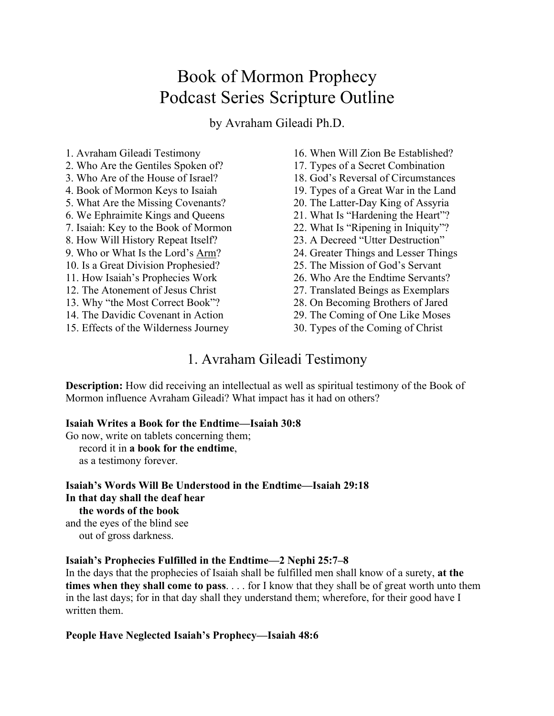# Book of Mormon Prophecy Podcast Series Scripture Outline

by Avraham Gileadi Ph.D.

1. Avraham Gileadi Testimony

- 2. Who Are the Gentiles Spoken of?
- 3. Who Are of the House of Israel?
- 4. Book of Mormon Keys to Isaiah
- 5. What Are the Missing Covenants?
- 6. We Ephraimite Kings and Queens
- 7. Isaiah: Key to the Book of Mormon
- 8. How Will History Repeat Itself?
- 9. Who or What Is the Lord's Arm?
- 10. Is a Great Division Prophesied?
- 11. How Isaiah's Prophecies Work
- 12. The Atonement of Jesus Christ
- 13. Why "the Most Correct Book"?
- 14. The Davidic Covenant in Action
- 15. Effects of the Wilderness Journey
- 16. When Will Zion Be Established?
- 17. Types of a Secret Combination
- 18. God's Reversal of Circumstances
- 19. Types of a Great War in the Land
- 20. The Latter-Day King of Assyria
- 21. What Is "Hardening the Heart"?
- 22. What Is "Ripening in Iniquity"?
- 23. A Decreed "Utter Destruction"
- 24. Greater Things and Lesser Things
- 25. The Mission of God's Servant
- 26. Who Are the Endtime Servants?
- 27. Translated Beings as Exemplars
- 28. On Becoming Brothers of Jared
- 29. The Coming of One Like Moses
- 30. Types of the Coming of Christ

# 1. Avraham Gileadi Testimony

**Description:** How did receiving an intellectual as well as spiritual testimony of the Book of Mormon influence Avraham Gileadi? What impact has it had on others?

#### **Isaiah Writes a Book for the Endtime—Isaiah 30:8**

Go now, write on tablets concerning them;

record it in **a book for the endtime**,

as a testimony forever.

**Isaiah's Words Will Be Understood in the Endtime—Isaiah 29:18 In that day shall the deaf hear the words of the book** and the eyes of the blind see

out of gross darkness.

#### **Isaiah's Prophecies Fulfilled in the Endtime—2 Nephi 25:7–8**

In the days that the prophecies of Isaiah shall be fulfilled men shall know of a surety, **at the times when they shall come to pass**. . . . for I know that they shall be of great worth unto them in the last days; for in that day shall they understand them; wherefore, for their good have I written them.

#### **People Have Neglected Isaiah's Prophecy—Isaiah 48:6**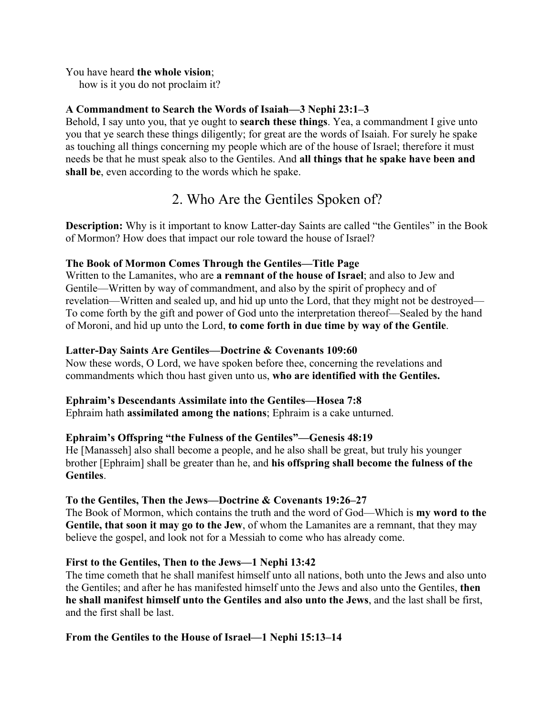#### You have heard **the whole vision**;

how is it you do not proclaim it?

## **A Commandment to Search the Words of Isaiah—3 Nephi 23:1–3**

Behold, I say unto you, that ye ought to **search these things**. Yea, a commandment I give unto you that ye search these things diligently; for great are the words of Isaiah. For surely he spake as touching all things concerning my people which are of the house of Israel; therefore it must needs be that he must speak also to the Gentiles. And **all things that he spake have been and shall be**, even according to the words which he spake.

# 2. Who Are the Gentiles Spoken of?

**Description:** Why is it important to know Latter-day Saints are called "the Gentiles" in the Book of Mormon? How does that impact our role toward the house of Israel?

## **The Book of Mormon Comes Through the Gentiles—Title Page**

Written to the Lamanites, who are **a remnant of the house of Israel**; and also to Jew and Gentile—Written by way of commandment, and also by the spirit of prophecy and of revelation—Written and sealed up, and hid up unto the Lord, that they might not be destroyed— To come forth by the gift and power of God unto the interpretation thereof—Sealed by the hand of Moroni, and hid up unto the Lord, **to come forth in due time by way of the Gentile**.

## **Latter-Day Saints Are Gentiles—Doctrine & Covenants 109:60**

Now these words, O Lord, we have spoken before thee, concerning the revelations and commandments which thou hast given unto us, **who are identified with the Gentiles.**

## **Ephraim's Descendants Assimilate into the Gentiles—Hosea 7:8**

Ephraim hath **assimilated among the nations**; Ephraim is a cake unturned.

## **Ephraim's Offspring "the Fulness of the Gentiles"—Genesis 48:19**

He [Manasseh] also shall become a people, and he also shall be great, but truly his younger brother [Ephraim] shall be greater than he, and **his offspring shall become the fulness of the Gentiles**.

## **To the Gentiles, Then the Jews—Doctrine & Covenants 19:26–27**

The Book of Mormon, which contains the truth and the word of God—Which is **my word to the Gentile, that soon it may go to the Jew**, of whom the Lamanites are a remnant, that they may believe the gospel, and look not for a Messiah to come who has already come.

## **First to the Gentiles, Then to the Jews—1 Nephi 13:42**

The time cometh that he shall manifest himself unto all nations, both unto the Jews and also unto the Gentiles; and after he has manifested himself unto the Jews and also unto the Gentiles, **then he shall manifest himself unto the Gentiles and also unto the Jews**, and the last shall be first, and the first shall be last.

## **From the Gentiles to the House of Israel—1 Nephi 15:13–14**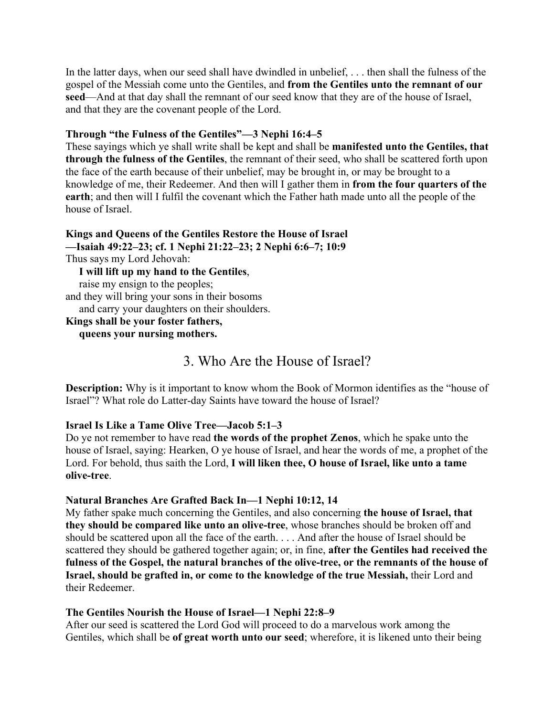In the latter days, when our seed shall have dwindled in unbelief, . . . then shall the fulness of the gospel of the Messiah come unto the Gentiles, and **from the Gentiles unto the remnant of our seed**—And at that day shall the remnant of our seed know that they are of the house of Israel, and that they are the covenant people of the Lord.

#### **Through "the Fulness of the Gentiles"—3 Nephi 16:4–5**

These sayings which ye shall write shall be kept and shall be **manifested unto the Gentiles, that through the fulness of the Gentiles**, the remnant of their seed, who shall be scattered forth upon the face of the earth because of their unbelief, may be brought in, or may be brought to a knowledge of me, their Redeemer. And then will I gather them in **from the four quarters of the earth**; and then will I fulfil the covenant which the Father hath made unto all the people of the house of Israel.

**Kings and Queens of the Gentiles Restore the House of Israel —Isaiah 49:22–23; cf. 1 Nephi 21:22–23; 2 Nephi 6:6–7; 10:9** Thus says my Lord Jehovah:  **I will lift up my hand to the Gentiles**, raise my ensign to the peoples; and they will bring your sons in their bosoms and carry your daughters on their shoulders. **Kings shall be your foster fathers, queens your nursing mothers.**

# 3. Who Are the House of Israel?

**Description:** Why is it important to know whom the Book of Mormon identifies as the "house of Israel"? What role do Latter-day Saints have toward the house of Israel?

#### **Israel Is Like a Tame Olive Tree—Jacob 5:1–3**

Do ye not remember to have read **the words of the prophet Zenos**, which he spake unto the house of Israel, saying: Hearken, O ye house of Israel, and hear the words of me, a prophet of the Lord. For behold, thus saith the Lord, **I will liken thee, O house of Israel, like unto a tame olive-tree**.

#### **Natural Branches Are Grafted Back In—1 Nephi 10:12, 14**

My father spake much concerning the Gentiles, and also concerning **the house of Israel, that they should be compared like unto an olive-tree**, whose branches should be broken off and should be scattered upon all the face of the earth. . . . And after the house of Israel should be scattered they should be gathered together again; or, in fine, **after the Gentiles had received the fulness of the Gospel, the natural branches of the olive-tree, or the remnants of the house of Israel, should be grafted in, or come to the knowledge of the true Messiah,** their Lord and their Redeemer.

#### **The Gentiles Nourish the House of Israel—1 Nephi 22:8–9**

After our seed is scattered the Lord God will proceed to do a marvelous work among the Gentiles, which shall be **of great worth unto our seed**; wherefore, it is likened unto their being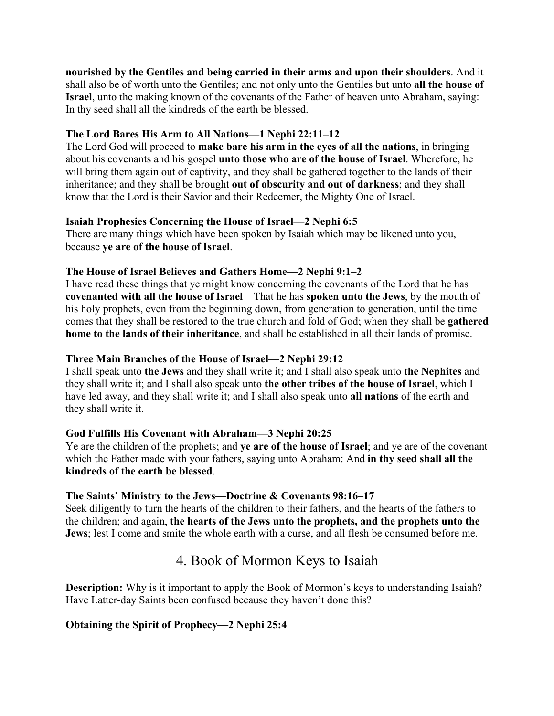**nourished by the Gentiles and being carried in their arms and upon their shoulders**. And it shall also be of worth unto the Gentiles; and not only unto the Gentiles but unto **all the house of Israel**, unto the making known of the covenants of the Father of heaven unto Abraham, saying: In thy seed shall all the kindreds of the earth be blessed.

## **The Lord Bares His Arm to All Nations—1 Nephi 22:11–12**

The Lord God will proceed to **make bare his arm in the eyes of all the nations**, in bringing about his covenants and his gospel **unto those who are of the house of Israel**. Wherefore, he will bring them again out of captivity, and they shall be gathered together to the lands of their inheritance; and they shall be brought **out of obscurity and out of darkness**; and they shall know that the Lord is their Savior and their Redeemer, the Mighty One of Israel.

## **Isaiah Prophesies Concerning the House of Israel—2 Nephi 6:5**

There are many things which have been spoken by Isaiah which may be likened unto you, because **ye are of the house of Israel**.

## **The House of Israel Believes and Gathers Home—2 Nephi 9:1–2**

I have read these things that ye might know concerning the covenants of the Lord that he has **covenanted with all the house of Israel**—That he has **spoken unto the Jews**, by the mouth of his holy prophets, even from the beginning down, from generation to generation, until the time comes that they shall be restored to the true church and fold of God; when they shall be **gathered home to the lands of their inheritance**, and shall be established in all their lands of promise.

## **Three Main Branches of the House of Israel—2 Nephi 29:12**

I shall speak unto **the Jews** and they shall write it; and I shall also speak unto **the Nephites** and they shall write it; and I shall also speak unto **the other tribes of the house of Israel**, which I have led away, and they shall write it; and I shall also speak unto **all nations** of the earth and they shall write it.

# **God Fulfills His Covenant with Abraham—3 Nephi 20:25**

Ye are the children of the prophets; and **ye are of the house of Israel**; and ye are of the covenant which the Father made with your fathers, saying unto Abraham: And **in thy seed shall all the kindreds of the earth be blessed**.

## **The Saints' Ministry to the Jews—Doctrine & Covenants 98:16–17**

Seek diligently to turn the hearts of the children to their fathers, and the hearts of the fathers to the children; and again, **the hearts of the Jews unto the prophets, and the prophets unto the Jews**; lest I come and smite the whole earth with a curse, and all flesh be consumed before me.

# 4. Book of Mormon Keys to Isaiah

**Description:** Why is it important to apply the Book of Mormon's keys to understanding Isaiah? Have Latter-day Saints been confused because they haven't done this?

# **Obtaining the Spirit of Prophecy—2 Nephi 25:4**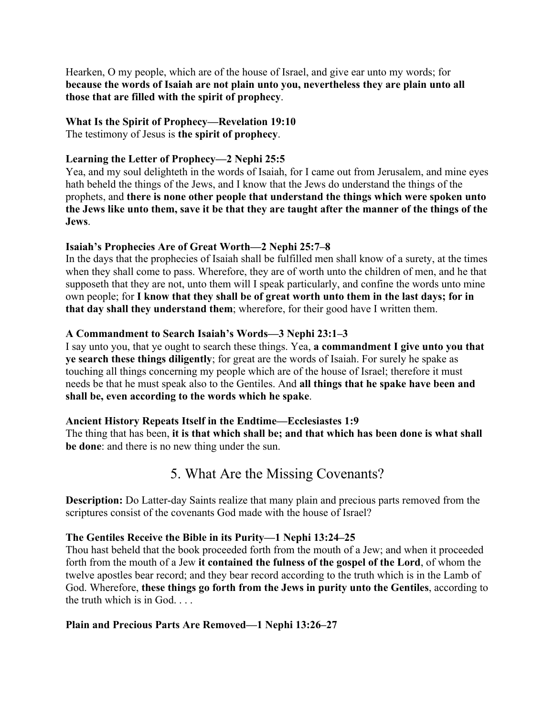Hearken, O my people, which are of the house of Israel, and give ear unto my words; for **because the words of Isaiah are not plain unto you, nevertheless they are plain unto all those that are filled with the spirit of prophecy**.

## **What Is the Spirit of Prophecy—Revelation 19:10**

The testimony of Jesus is **the spirit of prophecy**.

## **Learning the Letter of Prophecy—2 Nephi 25:5**

Yea, and my soul delighteth in the words of Isaiah, for I came out from Jerusalem, and mine eyes hath beheld the things of the Jews, and I know that the Jews do understand the things of the prophets, and **there is none other people that understand the things which were spoken unto the Jews like unto them, save it be that they are taught after the manner of the things of the Jews**.

## **Isaiah's Prophecies Are of Great Worth—2 Nephi 25:7–8**

In the days that the prophecies of Isaiah shall be fulfilled men shall know of a surety, at the times when they shall come to pass. Wherefore, they are of worth unto the children of men, and he that supposeth that they are not, unto them will I speak particularly, and confine the words unto mine own people; for **I know that they shall be of great worth unto them in the last days; for in that day shall they understand them**; wherefore, for their good have I written them.

## **A Commandment to Search Isaiah's Words—3 Nephi 23:1–3**

I say unto you, that ye ought to search these things. Yea, **a commandment I give unto you that ye search these things diligently**; for great are the words of Isaiah. For surely he spake as touching all things concerning my people which are of the house of Israel; therefore it must needs be that he must speak also to the Gentiles. And **all things that he spake have been and shall be, even according to the words which he spake**.

## **Ancient History Repeats Itself in the Endtime—Ecclesiastes 1:9**

The thing that has been, **it is that which shall be; and that which has been done is what shall be done**: and there is no new thing under the sun.

# 5. What Are the Missing Covenants?

**Description:** Do Latter-day Saints realize that many plain and precious parts removed from the scriptures consist of the covenants God made with the house of Israel?

## **The Gentiles Receive the Bible in its Purity—1 Nephi 13:24–25**

Thou hast beheld that the book proceeded forth from the mouth of a Jew; and when it proceeded forth from the mouth of a Jew **it contained the fulness of the gospel of the Lord**, of whom the twelve apostles bear record; and they bear record according to the truth which is in the Lamb of God. Wherefore, **these things go forth from the Jews in purity unto the Gentiles**, according to the truth which is in God. . . .

## **Plain and Precious Parts Are Removed—1 Nephi 13:26–27**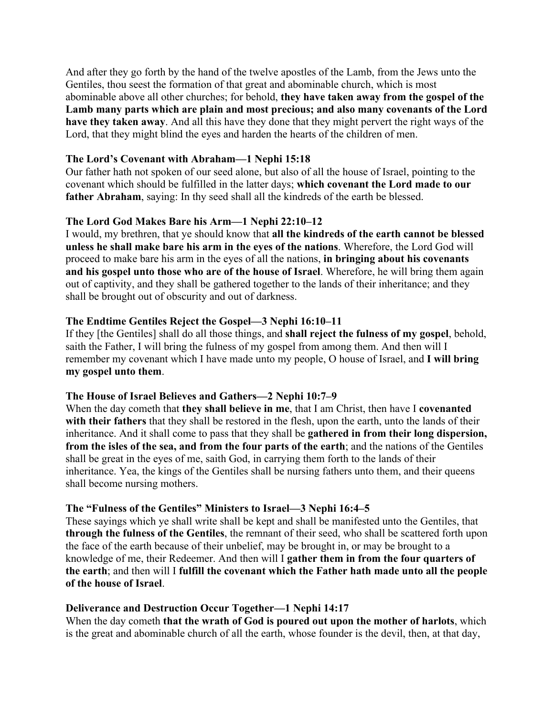And after they go forth by the hand of the twelve apostles of the Lamb, from the Jews unto the Gentiles, thou seest the formation of that great and abominable church, which is most abominable above all other churches; for behold, **they have taken away from the gospel of the Lamb many parts which are plain and most precious; and also many covenants of the Lord have they taken away**. And all this have they done that they might pervert the right ways of the Lord, that they might blind the eyes and harden the hearts of the children of men.

### **The Lord's Covenant with Abraham—1 Nephi 15:18**

Our father hath not spoken of our seed alone, but also of all the house of Israel, pointing to the covenant which should be fulfilled in the latter days; **which covenant the Lord made to our father Abraham**, saying: In thy seed shall all the kindreds of the earth be blessed.

## **The Lord God Makes Bare his Arm—1 Nephi 22:10–12**

I would, my brethren, that ye should know that **all the kindreds of the earth cannot be blessed unless he shall make bare his arm in the eyes of the nations**. Wherefore, the Lord God will proceed to make bare his arm in the eyes of all the nations, **in bringing about his covenants and his gospel unto those who are of the house of Israel**. Wherefore, he will bring them again out of captivity, and they shall be gathered together to the lands of their inheritance; and they shall be brought out of obscurity and out of darkness.

### **The Endtime Gentiles Reject the Gospel—3 Nephi 16:10–11**

If they [the Gentiles] shall do all those things, and **shall reject the fulness of my gospel**, behold, saith the Father, I will bring the fulness of my gospel from among them. And then will I remember my covenant which I have made unto my people, O house of Israel, and **I will bring my gospel unto them**.

#### **The House of Israel Believes and Gathers—2 Nephi 10:7–9**

When the day cometh that **they shall believe in me**, that I am Christ, then have I **covenanted with their fathers** that they shall be restored in the flesh, upon the earth, unto the lands of their inheritance. And it shall come to pass that they shall be **gathered in from their long dispersion, from the isles of the sea, and from the four parts of the earth**; and the nations of the Gentiles shall be great in the eyes of me, saith God, in carrying them forth to the lands of their inheritance. Yea, the kings of the Gentiles shall be nursing fathers unto them, and their queens shall become nursing mothers.

#### **The "Fulness of the Gentiles" Ministers to Israel—3 Nephi 16:4–5**

These sayings which ye shall write shall be kept and shall be manifested unto the Gentiles, that **through the fulness of the Gentiles**, the remnant of their seed, who shall be scattered forth upon the face of the earth because of their unbelief, may be brought in, or may be brought to a knowledge of me, their Redeemer. And then will I **gather them in from the four quarters of the earth**; and then will I **fulfill the covenant which the Father hath made unto all the people of the house of Israel**.

#### **Deliverance and Destruction Occur Together—1 Nephi 14:17**

When the day cometh **that the wrath of God is poured out upon the mother of harlots**, which is the great and abominable church of all the earth, whose founder is the devil, then, at that day,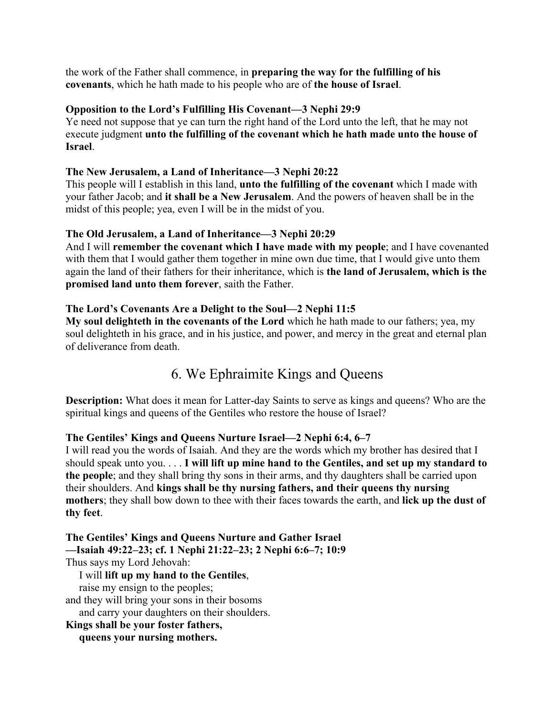the work of the Father shall commence, in **preparing the way for the fulfilling of his covenants**, which he hath made to his people who are of **the house of Israel**.

### **Opposition to the Lord's Fulfilling His Covenant—3 Nephi 29:9**

Ye need not suppose that ye can turn the right hand of the Lord unto the left, that he may not execute judgment **unto the fulfilling of the covenant which he hath made unto the house of Israel**.

### **The New Jerusalem, a Land of Inheritance—3 Nephi 20:22**

This people will I establish in this land, **unto the fulfilling of the covenant** which I made with your father Jacob; and **it shall be a New Jerusalem**. And the powers of heaven shall be in the midst of this people; yea, even I will be in the midst of you.

## **The Old Jerusalem, a Land of Inheritance—3 Nephi 20:29**

And I will **remember the covenant which I have made with my people**; and I have covenanted with them that I would gather them together in mine own due time, that I would give unto them again the land of their fathers for their inheritance, which is **the land of Jerusalem, which is the promised land unto them forever**, saith the Father.

### **The Lord's Covenants Are a Delight to the Soul—2 Nephi 11:5**

**My soul delighteth in the covenants of the Lord** which he hath made to our fathers; yea, my soul delighteth in his grace, and in his justice, and power, and mercy in the great and eternal plan of deliverance from death.

# 6. We Ephraimite Kings and Queens

**Description:** What does it mean for Latter-day Saints to serve as kings and queens? Who are the spiritual kings and queens of the Gentiles who restore the house of Israel?

#### **The Gentiles' Kings and Queens Nurture Israel—2 Nephi 6:4, 6–7**

I will read you the words of Isaiah. And they are the words which my brother has desired that I should speak unto you. . . . **I will lift up mine hand to the Gentiles, and set up my standard to the people**; and they shall bring thy sons in their arms, and thy daughters shall be carried upon their shoulders. And **kings shall be thy nursing fathers, and their queens thy nursing mothers**; they shall bow down to thee with their faces towards the earth, and **lick up the dust of thy feet**.

**The Gentiles' Kings and Queens Nurture and Gather Israel —Isaiah 49:22–23; cf. 1 Nephi 21:22–23; 2 Nephi 6:6–7; 10:9** Thus says my Lord Jehovah: I will **lift up my hand to the Gentiles**, raise my ensign to the peoples; and they will bring your sons in their bosoms and carry your daughters on their shoulders. **Kings shall be your foster fathers,**

 **queens your nursing mothers.**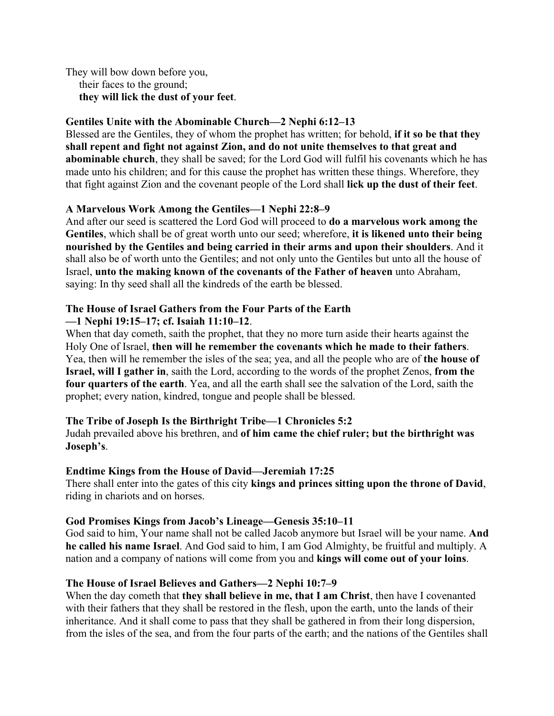They will bow down before you, their faces to the ground; **they will lick the dust of your feet**.

### **Gentiles Unite with the Abominable Church—2 Nephi 6:12–13**

Blessed are the Gentiles, they of whom the prophet has written; for behold, **if it so be that they shall repent and fight not against Zion, and do not unite themselves to that great and abominable church**, they shall be saved; for the Lord God will fulfil his covenants which he has made unto his children; and for this cause the prophet has written these things. Wherefore, they that fight against Zion and the covenant people of the Lord shall **lick up the dust of their feet**.

### **A Marvelous Work Among the Gentiles—1 Nephi 22:8–9**

And after our seed is scattered the Lord God will proceed to **do a marvelous work among the Gentiles**, which shall be of great worth unto our seed; wherefore, **it is likened unto their being nourished by the Gentiles and being carried in their arms and upon their shoulders**. And it shall also be of worth unto the Gentiles; and not only unto the Gentiles but unto all the house of Israel, **unto the making known of the covenants of the Father of heaven** unto Abraham, saying: In thy seed shall all the kindreds of the earth be blessed.

#### **The House of Israel Gathers from the Four Parts of the Earth —1 Nephi 19:15–17; cf. Isaiah 11:10–12**.

When that day cometh, saith the prophet, that they no more turn aside their hearts against the Holy One of Israel, **then will he remember the covenants which he made to their fathers**. Yea, then will he remember the isles of the sea; yea, and all the people who are of **the house of Israel, will I gather in**, saith the Lord, according to the words of the prophet Zenos, **from the four quarters of the earth**. Yea, and all the earth shall see the salvation of the Lord, saith the prophet; every nation, kindred, tongue and people shall be blessed.

#### **The Tribe of Joseph Is the Birthright Tribe—1 Chronicles 5:2**

Judah prevailed above his brethren, and **of him came the chief ruler; but the birthright was Joseph's**.

#### **Endtime Kings from the House of David—Jeremiah 17:25**

There shall enter into the gates of this city **kings and princes sitting upon the throne of David**, riding in chariots and on horses.

#### **God Promises Kings from Jacob's Lineage—Genesis 35:10–11**

God said to him, Your name shall not be called Jacob anymore but Israel will be your name. **And he called his name Israel**. And God said to him, I am God Almighty, be fruitful and multiply. A nation and a company of nations will come from you and **kings will come out of your loins**.

## **The House of Israel Believes and Gathers—2 Nephi 10:7–9**

When the day cometh that **they shall believe in me, that I am Christ**, then have I covenanted with their fathers that they shall be restored in the flesh, upon the earth, unto the lands of their inheritance. And it shall come to pass that they shall be gathered in from their long dispersion, from the isles of the sea, and from the four parts of the earth; and the nations of the Gentiles shall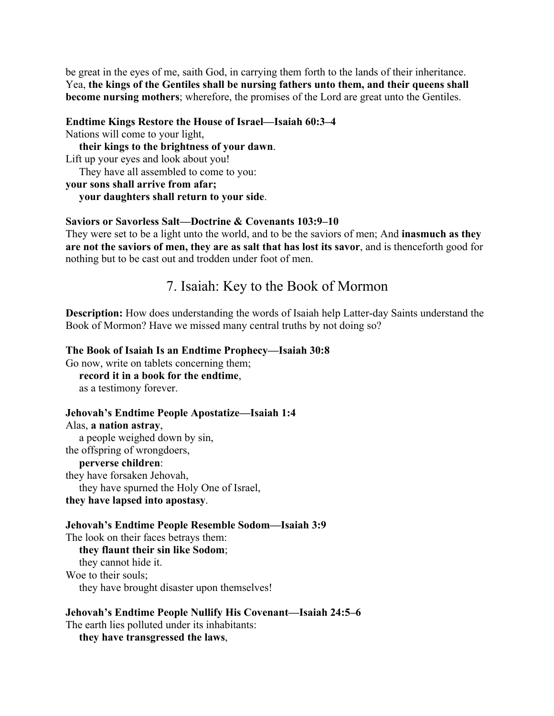be great in the eyes of me, saith God, in carrying them forth to the lands of their inheritance. Yea, **the kings of the Gentiles shall be nursing fathers unto them, and their queens shall become nursing mothers**; wherefore, the promises of the Lord are great unto the Gentiles.

#### **Endtime Kings Restore the House of Israel—Isaiah 60:3–4**

Nations will come to your light,

 **their kings to the brightness of your dawn**. Lift up your eyes and look about you! They have all assembled to come to you:

**your sons shall arrive from afar;**

 **your daughters shall return to your side**.

#### **Saviors or Savorless Salt—Doctrine & Covenants 103:9–10**

They were set to be a light unto the world, and to be the saviors of men; And **inasmuch as they are not the saviors of men, they are as salt that has lost its savor**, and is thenceforth good for nothing but to be cast out and trodden under foot of men.

# 7. Isaiah: Key to the Book of Mormon

**Description:** How does understanding the words of Isaiah help Latter-day Saints understand the Book of Mormon? Have we missed many central truths by not doing so?

#### **The Book of Isaiah Is an Endtime Prophecy—Isaiah 30:8**

Go now, write on tablets concerning them; **record it in a book for the endtime**, as a testimony forever.

#### **Jehovah's Endtime People Apostatize—Isaiah 1:4**

Alas, **a nation astray**, a people weighed down by sin, the offspring of wrongdoers,

### **perverse children**:

they have forsaken Jehovah, they have spurned the Holy One of Israel, **they have lapsed into apostasy**.

#### **Jehovah's Endtime People Resemble Sodom—Isaiah 3:9**

The look on their faces betrays them:

 **they flaunt their sin like Sodom**; they cannot hide it. Woe to their souls; they have brought disaster upon themselves!

#### **Jehovah's Endtime People Nullify His Covenant—Isaiah 24:5–6**

The earth lies polluted under its inhabitants:

**they have transgressed the laws**,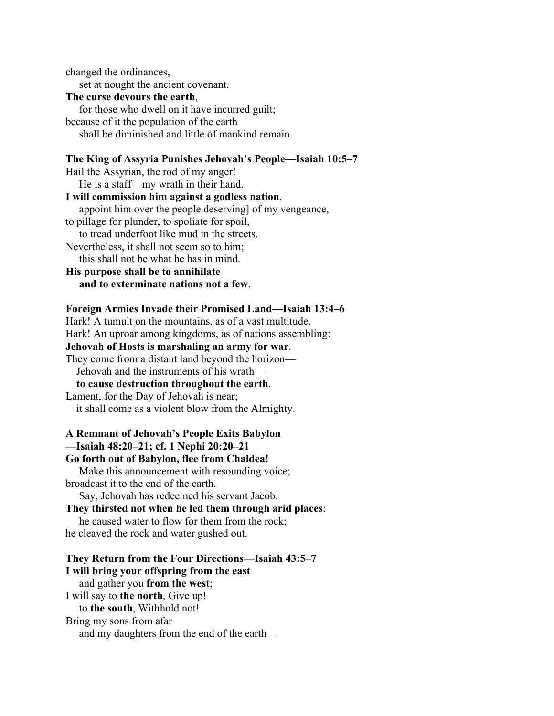changed the ordinances, set at nought the ancient covenant. **The curse devours the earth**, for those who dwell on it have incurred guilt; because of it the population of the earth shall be diminished and little of mankind remain.

### **The King of Assyria Punishes Jehovah's People—Isaiah 10:5–7**

Hail the Assyrian, the rod of my anger! He is a staff—my wrath in their hand. **I will commission him against a godless nation**, appoint him over the people deserving] of my vengeance, to pillage for plunder, to spoliate for spoil, to tread underfoot like mud in the streets. Nevertheless, it shall not seem so to him; this shall not be what he has in mind.

**His purpose shall be to annihilate and to exterminate nations not a few**.

#### **Foreign Armies Invade their Promised Land—Isaiah 13:4–6**

Hark! A tumult on the mountains, as of a vast multitude. Hark! An uproar among kingdoms, as of nations assembling: **Jehovah of Hosts is marshaling an army for war**. They come from a distant land beyond the horizon— Jehovah and the instruments of his wrath **to cause destruction throughout the earth**. Lament, for the Day of Jehovah is near; it shall come as a violent blow from the Almighty.

## **A Remnant of Jehovah's People Exits Babylon —Isaiah 48:20–21; cf. 1 Nephi 20:20–21**

**Go forth out of Babylon, flee from Chaldea!** Make this announcement with resounding voice; broadcast it to the end of the earth.

Say, Jehovah has redeemed his servant Jacob.

### **They thirsted not when he led them through arid places**:

 he caused water to flow for them from the rock; he cleaved the rock and water gushed out.

### **They Return from the Four Directions—Isaiah 43:5–7 I will bring your offspring from the east** and gather you **from the west**; I will say to **the north**, Give up! to **the south**, Withhold not! Bring my sons from afar and my daughters from the end of the earth—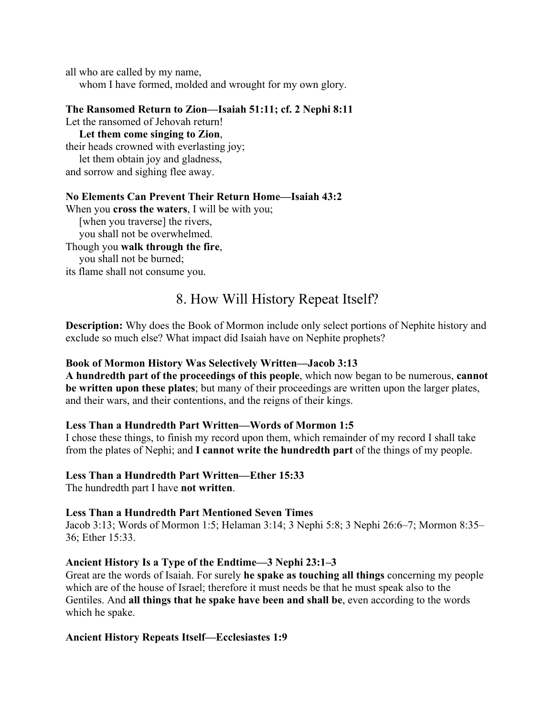all who are called by my name, whom I have formed, molded and wrought for my own glory.

#### **The Ransomed Return to Zion—Isaiah 51:11; cf. 2 Nephi 8:11**

Let the ransomed of Jehovah return!

**Let them come singing to Zion**,

their heads crowned with everlasting joy; let them obtain joy and gladness,

and sorrow and sighing flee away.

#### **No Elements Can Prevent Their Return Home—Isaiah 43:2**

When you **cross the waters**, I will be with you;

[when you traverse] the rivers,

you shall not be overwhelmed.

#### Though you **walk through the fire**,

you shall not be burned;

its flame shall not consume you.

# 8. How Will History Repeat Itself?

**Description:** Why does the Book of Mormon include only select portions of Nephite history and exclude so much else? What impact did Isaiah have on Nephite prophets?

#### **Book of Mormon History Was Selectively Written—Jacob 3:13**

**A hundredth part of the proceedings of this people**, which now began to be numerous, **cannot be written upon these plates**; but many of their proceedings are written upon the larger plates, and their wars, and their contentions, and the reigns of their kings.

#### **Less Than a Hundredth Part Written—Words of Mormon 1:5**

I chose these things, to finish my record upon them, which remainder of my record I shall take from the plates of Nephi; and **I cannot write the hundredth part** of the things of my people.

## **Less Than a Hundredth Part Written—Ether 15:33**

The hundredth part I have **not written**.

#### **Less Than a Hundredth Part Mentioned Seven Times**

Jacob 3:13; Words of Mormon 1:5; Helaman 3:14; 3 Nephi 5:8; 3 Nephi 26:6–7; Mormon 8:35– 36; Ether 15:33.

#### **Ancient History Is a Type of the Endtime—3 Nephi 23:1–3**

Great are the words of Isaiah. For surely **he spake as touching all things** concerning my people which are of the house of Israel; therefore it must needs be that he must speak also to the Gentiles. And **all things that he spake have been and shall be**, even according to the words which he spake.

#### **Ancient History Repeats Itself—Ecclesiastes 1:9**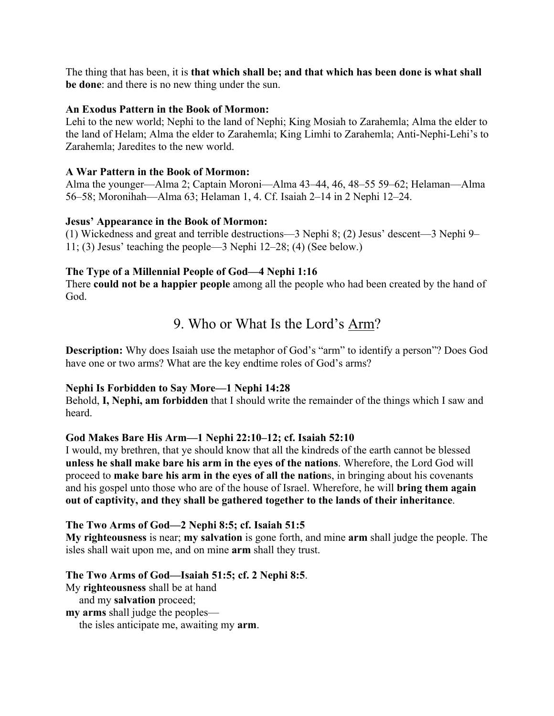The thing that has been, it is **that which shall be; and that which has been done is what shall be done**: and there is no new thing under the sun.

#### **An Exodus Pattern in the Book of Mormon:**

Lehi to the new world; Nephi to the land of Nephi; King Mosiah to Zarahemla; Alma the elder to the land of Helam; Alma the elder to Zarahemla; King Limhi to Zarahemla; Anti-Nephi-Lehi's to Zarahemla; Jaredites to the new world.

#### **A War Pattern in the Book of Mormon:**

Alma the younger—Alma 2; Captain Moroni—Alma 43–44, 46, 48–55 59–62; Helaman—Alma 56–58; Moronihah—Alma 63; Helaman 1, 4. Cf. Isaiah 2–14 in 2 Nephi 12–24.

#### **Jesus' Appearance in the Book of Mormon:**

(1) Wickedness and great and terrible destructions—3 Nephi 8; (2) Jesus' descent—3 Nephi 9– 11; (3) Jesus' teaching the people—3 Nephi 12–28; (4) (See below.)

#### **The Type of a Millennial People of God—4 Nephi 1:16**

There **could not be a happier people** among all the people who had been created by the hand of God.

# 9. Who or What Is the Lord's Arm?

**Description:** Why does Isaiah use the metaphor of God's "arm" to identify a person"? Does God have one or two arms? What are the key endtime roles of God's arms?

### **Nephi Is Forbidden to Say More—1 Nephi 14:28**

Behold, **I, Nephi, am forbidden** that I should write the remainder of the things which I saw and heard.

#### **God Makes Bare His Arm—1 Nephi 22:10–12; cf. Isaiah 52:10**

I would, my brethren, that ye should know that all the kindreds of the earth cannot be blessed **unless he shall make bare his arm in the eyes of the nations**. Wherefore, the Lord God will proceed to **make bare his arm in the eyes of all the nation**s, in bringing about his covenants and his gospel unto those who are of the house of Israel. Wherefore, he will **bring them again out of captivity, and they shall be gathered together to the lands of their inheritance**.

#### **The Two Arms of God—2 Nephi 8:5; cf. Isaiah 51:5**

**My righteousness** is near; **my salvation** is gone forth, and mine **arm** shall judge the people. The isles shall wait upon me, and on mine **arm** shall they trust.

#### **The Two Arms of God—Isaiah 51:5; cf. 2 Nephi 8:5**.

My **righteousness** shall be at hand

and my **salvation** proceed;

**my arms** shall judge the peoples—

the isles anticipate me, awaiting my **arm**.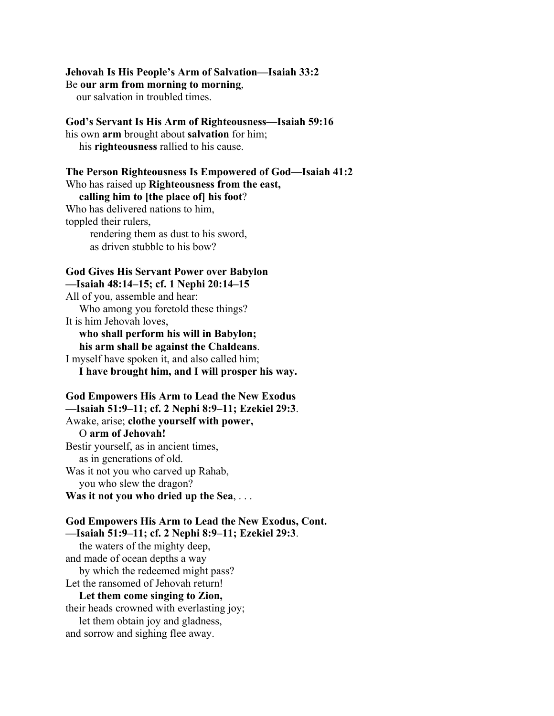#### **Jehovah Is His People's Arm of Salvation—Isaiah 33:2**

Be **our arm from morning to morning**,

our salvation in troubled times.

#### **God's Servant Is His Arm of Righteousness—Isaiah 59:16**

his own **arm** brought about **salvation** for him; his **righteousness** rallied to his cause.

#### **The Person Righteousness Is Empowered of God—Isaiah 41:2** Who has raised up **Righteousness from the east,**

#### **calling him to [the place of] his foot**?

Who has delivered nations to him, toppled their rulers, rendering them as dust to his sword, as driven stubble to his bow?

#### **God Gives His Servant Power over Babylon —Isaiah 48:14–15; cf. 1 Nephi 20:14–15**

All of you, assemble and hear: Who among you foretold these things? It is him Jehovah loves,  **who shall perform his will in Babylon; his arm shall be against the Chaldeans**.

I myself have spoken it, and also called him; **I have brought him, and I will prosper his way.**

#### **God Empowers His Arm to Lead the New Exodus —Isaiah 51:9–11; cf. 2 Nephi 8:9–11; Ezekiel 29:3**.

Awake, arise; **clothe yourself with power,** O **arm of Jehovah!** Bestir yourself, as in ancient times, as in generations of old. Was it not you who carved up Rahab, you who slew the dragon? **Was it not you who dried up the Sea**, . . .

**God Empowers His Arm to Lead the New Exodus, Cont. —Isaiah 51:9–11; cf. 2 Nephi 8:9–11; Ezekiel 29:3**. the waters of the mighty deep, and made of ocean depths a way by which the redeemed might pass? Let the ransomed of Jehovah return! **Let them come singing to Zion,** their heads crowned with everlasting joy; let them obtain joy and gladness, and sorrow and sighing flee away.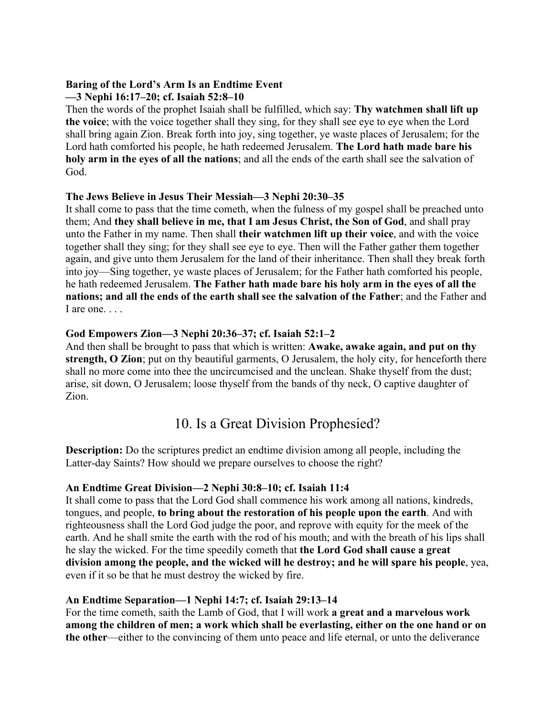### **Baring of the Lord's Arm Is an Endtime Event —3 Nephi 16:17–20; cf. Isaiah 52:8–10**

Then the words of the prophet Isaiah shall be fulfilled, which say: **Thy watchmen shall lift up the voice**; with the voice together shall they sing, for they shall see eye to eye when the Lord shall bring again Zion. Break forth into joy, sing together, ye waste places of Jerusalem; for the Lord hath comforted his people, he hath redeemed Jerusalem. **The Lord hath made bare his holy arm in the eyes of all the nations**; and all the ends of the earth shall see the salvation of God.

## **The Jews Believe in Jesus Their Messiah—3 Nephi 20:30–35**

It shall come to pass that the time cometh, when the fulness of my gospel shall be preached unto them; And **they shall believe in me, that I am Jesus Christ, the Son of God**, and shall pray unto the Father in my name. Then shall **their watchmen lift up their voice**, and with the voice together shall they sing; for they shall see eye to eye. Then will the Father gather them together again, and give unto them Jerusalem for the land of their inheritance. Then shall they break forth into joy—Sing together, ye waste places of Jerusalem; for the Father hath comforted his people, he hath redeemed Jerusalem. **The Father hath made bare his holy arm in the eyes of all the nations; and all the ends of the earth shall see the salvation of the Father**; and the Father and I are one...

## **God Empowers Zion—3 Nephi 20:36–37; cf. Isaiah 52:1–2**

And then shall be brought to pass that which is written: **Awake, awake again, and put on thy strength, O Zion**; put on thy beautiful garments, O Jerusalem, the holy city, for henceforth there shall no more come into thee the uncircumcised and the unclean. Shake thyself from the dust; arise, sit down, O Jerusalem; loose thyself from the bands of thy neck, O captive daughter of Zion.

# 10. Is a Great Division Prophesied?

**Description:** Do the scriptures predict an endtime division among all people, including the Latter-day Saints? How should we prepare ourselves to choose the right?

## **An Endtime Great Division—2 Nephi 30:8–10; cf. Isaiah 11:4**

It shall come to pass that the Lord God shall commence his work among all nations, kindreds, tongues, and people, **to bring about the restoration of his people upon the earth**. And with righteousness shall the Lord God judge the poor, and reprove with equity for the meek of the earth. And he shall smite the earth with the rod of his mouth; and with the breath of his lips shall he slay the wicked. For the time speedily cometh that **the Lord God shall cause a great division among the people, and the wicked will he destroy; and he will spare his people**, yea, even if it so be that he must destroy the wicked by fire.

## **An Endtime Separation—1 Nephi 14:7; cf. Isaiah 29:13–14**

For the time cometh, saith the Lamb of God, that I will work **a great and a marvelous work among the children of men; a work which shall be everlasting, either on the one hand or on the other**—either to the convincing of them unto peace and life eternal, or unto the deliverance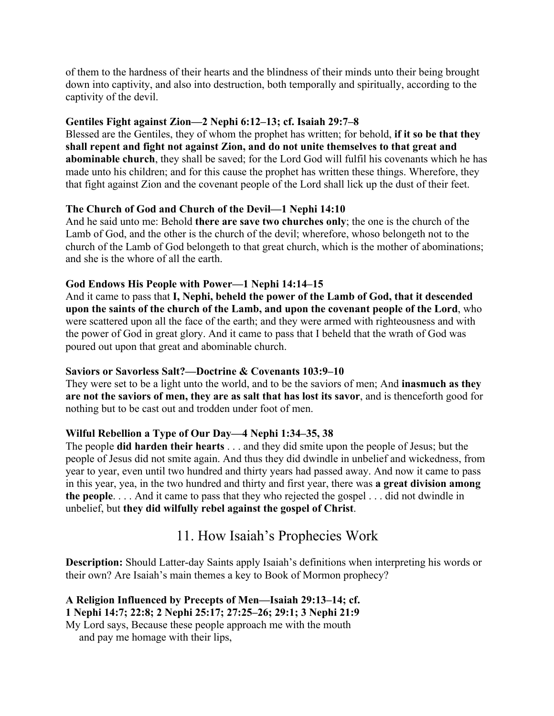of them to the hardness of their hearts and the blindness of their minds unto their being brought down into captivity, and also into destruction, both temporally and spiritually, according to the captivity of the devil.

### **Gentiles Fight against Zion—2 Nephi 6:12–13; cf. Isaiah 29:7–8**

Blessed are the Gentiles, they of whom the prophet has written; for behold, **if it so be that they shall repent and fight not against Zion, and do not unite themselves to that great and abominable church**, they shall be saved; for the Lord God will fulfil his covenants which he has made unto his children; and for this cause the prophet has written these things. Wherefore, they that fight against Zion and the covenant people of the Lord shall lick up the dust of their feet.

### **The Church of God and Church of the Devil—1 Nephi 14:10**

And he said unto me: Behold **there are save two churches only**; the one is the church of the Lamb of God, and the other is the church of the devil; wherefore, whoso belongeth not to the church of the Lamb of God belongeth to that great church, which is the mother of abominations; and she is the whore of all the earth.

### **God Endows His People with Power—1 Nephi 14:14–15**

And it came to pass that **I, Nephi, beheld the power of the Lamb of God, that it descended upon the saints of the church of the Lamb, and upon the covenant people of the Lord**, who were scattered upon all the face of the earth; and they were armed with righteousness and with the power of God in great glory. And it came to pass that I beheld that the wrath of God was poured out upon that great and abominable church.

#### **Saviors or Savorless Salt?—Doctrine & Covenants 103:9–10**

They were set to be a light unto the world, and to be the saviors of men; And **inasmuch as they are not the saviors of men, they are as salt that has lost its savor**, and is thenceforth good for nothing but to be cast out and trodden under foot of men.

## **Wilful Rebellion a Type of Our Day—4 Nephi 1:34–35, 38**

The people **did harden their hearts** . . . and they did smite upon the people of Jesus; but the people of Jesus did not smite again. And thus they did dwindle in unbelief and wickedness, from year to year, even until two hundred and thirty years had passed away. And now it came to pass in this year, yea, in the two hundred and thirty and first year, there was **a great division among the people**. . . . And it came to pass that they who rejected the gospel . . . did not dwindle in unbelief, but **they did wilfully rebel against the gospel of Christ**.

# 11. How Isaiah's Prophecies Work

**Description:** Should Latter-day Saints apply Isaiah's definitions when interpreting his words or their own? Are Isaiah's main themes a key to Book of Mormon prophecy?

**A Religion Influenced by Precepts of Men—Isaiah 29:13–14; cf. 1 Nephi 14:7; 22:8; 2 Nephi 25:17; 27:25–26; 29:1; 3 Nephi 21:9** My Lord says, Because these people approach me with the mouth

and pay me homage with their lips,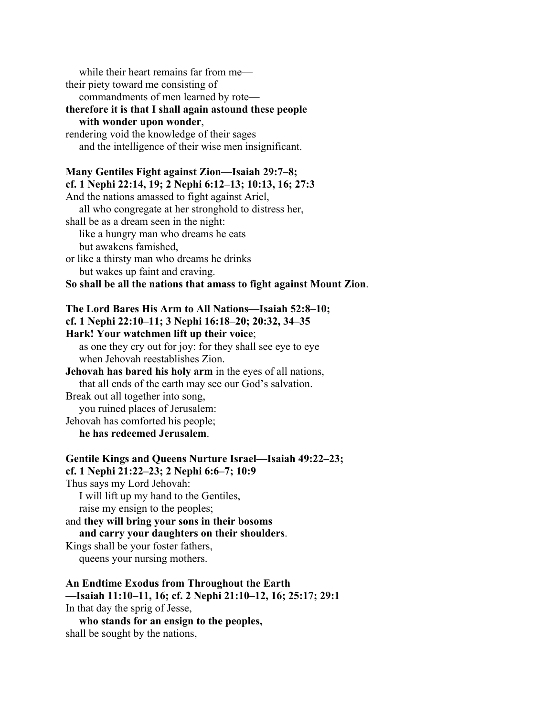while their heart remains far from me their piety toward me consisting of commandments of men learned by rote **therefore it is that I shall again astound these people with wonder upon wonder**, rendering void the knowledge of their sages and the intelligence of their wise men insignificant. **Many Gentiles Fight against Zion—Isaiah 29:7–8; cf. 1 Nephi 22:14, 19; 2 Nephi 6:12–13; 10:13, 16; 27:3** And the nations amassed to fight against Ariel, all who congregate at her stronghold to distress her, shall be as a dream seen in the night: like a hungry man who dreams he eats but awakens famished, or like a thirsty man who dreams he drinks but wakes up faint and craving. **So shall be all the nations that amass to fight against Mount Zion**. **The Lord Bares His Arm to All Nations—Isaiah 52:8–10; cf. 1 Nephi 22:10–11; 3 Nephi 16:18–20; 20:32, 34–35 Hark! Your watchmen lift up their voice**; as one they cry out for joy: for they shall see eye to eye when Jehovah reestablishes Zion. **Jehovah has bared his holy arm** in the eyes of all nations, that all ends of the earth may see our God's salvation. Break out all together into song, you ruined places of Jerusalem: Jehovah has comforted his people; **he has redeemed Jerusalem**. **Gentile Kings and Queens Nurture Israel—Isaiah 49:22–23; cf. 1 Nephi 21:22–23; 2 Nephi 6:6–7; 10:9** Thus says my Lord Jehovah: I will lift up my hand to the Gentiles,

raise my ensign to the peoples;

and **they will bring your sons in their bosoms and carry your daughters on their shoulders**. Kings shall be your foster fathers,

queens your nursing mothers.

**An Endtime Exodus from Throughout the Earth**

**—Isaiah 11:10–11, 16; cf. 2 Nephi 21:10–12, 16; 25:17; 29:1** In that day the sprig of Jesse,

 **who stands for an ensign to the peoples,** shall be sought by the nations,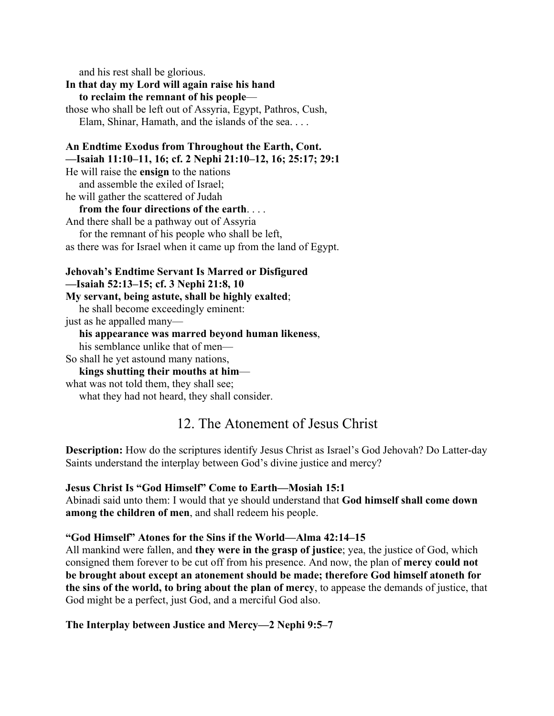and his rest shall be glorious.

**In that day my Lord will again raise his hand to reclaim the remnant of his people** those who shall be left out of Assyria, Egypt, Pathros, Cush, Elam, Shinar, Hamath, and the islands of the sea. . . .

### **An Endtime Exodus from Throughout the Earth, Cont. —Isaiah 11:10–11, 16; cf. 2 Nephi 21:10–12, 16; 25:17; 29:1**

He will raise the **ensign** to the nations and assemble the exiled of Israel; he will gather the scattered of Judah

### **from the four directions of the earth**. . . .

And there shall be a pathway out of Assyria for the remnant of his people who shall be left, as there was for Israel when it came up from the land of Egypt.

## **Jehovah's Endtime Servant Is Marred or Disfigured —Isaiah 52:13–15; cf. 3 Nephi 21:8, 10**

**My servant, being astute, shall be highly exalted**;

he shall become exceedingly eminent:

just as he appalled many—

## **his appearance was marred beyond human likeness**,

his semblance unlike that of men—

So shall he yet astound many nations,

## **kings shutting their mouths at him**—

what was not told them, they shall see;

what they had not heard, they shall consider.

# 12. The Atonement of Jesus Christ

**Description:** How do the scriptures identify Jesus Christ as Israel's God Jehovah? Do Latter-day Saints understand the interplay between God's divine justice and mercy?

## **Jesus Christ Is "God Himself" Come to Earth—Mosiah 15:1**

Abinadi said unto them: I would that ye should understand that **God himself shall come down among the children of men**, and shall redeem his people.

## **"God Himself" Atones for the Sins if the World—Alma 42:14–15**

All mankind were fallen, and **they were in the grasp of justice**; yea, the justice of God, which consigned them forever to be cut off from his presence. And now, the plan of **mercy could not be brought about except an atonement should be made; therefore God himself atoneth for the sins of the world, to bring about the plan of mercy**, to appease the demands of justice, that God might be a perfect, just God, and a merciful God also.

## **The Interplay between Justice and Mercy—2 Nephi 9:5–7**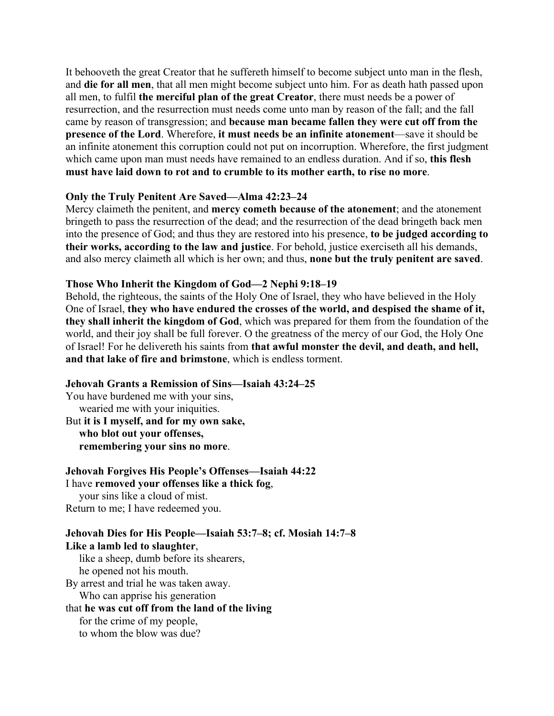It behooveth the great Creator that he suffereth himself to become subject unto man in the flesh, and **die for all men**, that all men might become subject unto him. For as death hath passed upon all men, to fulfil **the merciful plan of the great Creator**, there must needs be a power of resurrection, and the resurrection must needs come unto man by reason of the fall; and the fall came by reason of transgression; and **because man became fallen they were cut off from the presence of the Lord**. Wherefore, **it must needs be an infinite atonement**—save it should be an infinite atonement this corruption could not put on incorruption. Wherefore, the first judgment which came upon man must needs have remained to an endless duration. And if so, **this flesh must have laid down to rot and to crumble to its mother earth, to rise no more**.

#### **Only the Truly Penitent Are Saved—Alma 42:23–24**

Mercy claimeth the penitent, and **mercy cometh because of the atonement**; and the atonement bringeth to pass the resurrection of the dead; and the resurrection of the dead bringeth back men into the presence of God; and thus they are restored into his presence, **to be judged according to their works, according to the law and justice**. For behold, justice exerciseth all his demands, and also mercy claimeth all which is her own; and thus, **none but the truly penitent are saved**.

### **Those Who Inherit the Kingdom of God—2 Nephi 9:18–19**

Behold, the righteous, the saints of the Holy One of Israel, they who have believed in the Holy One of Israel, **they who have endured the crosses of the world, and despised the shame of it, they shall inherit the kingdom of God**, which was prepared for them from the foundation of the world, and their joy shall be full forever. O the greatness of the mercy of our God, the Holy One of Israel! For he delivereth his saints from **that awful monster the devil, and death, and hell, and that lake of fire and brimstone**, which is endless torment.

#### **Jehovah Grants a Remission of Sins—Isaiah 43:24–25**

You have burdened me with your sins, wearied me with your iniquities. But **it is I myself, and for my own sake, who blot out your offenses, remembering your sins no more**.

#### **Jehovah Forgives His People's Offenses—Isaiah 44:22** I have **removed your offenses like a thick fog**,

 your sins like a cloud of mist. Return to me; I have redeemed you.

# **Jehovah Dies for His People—Isaiah 53:7–8; cf. Mosiah 14:7–8 Like a lamb led to slaughter**,

 like a sheep, dumb before its shearers, he opened not his mouth. By arrest and trial he was taken away.

Who can apprise his generation

### that **he was cut off from the land of the living**

for the crime of my people,

to whom the blow was due?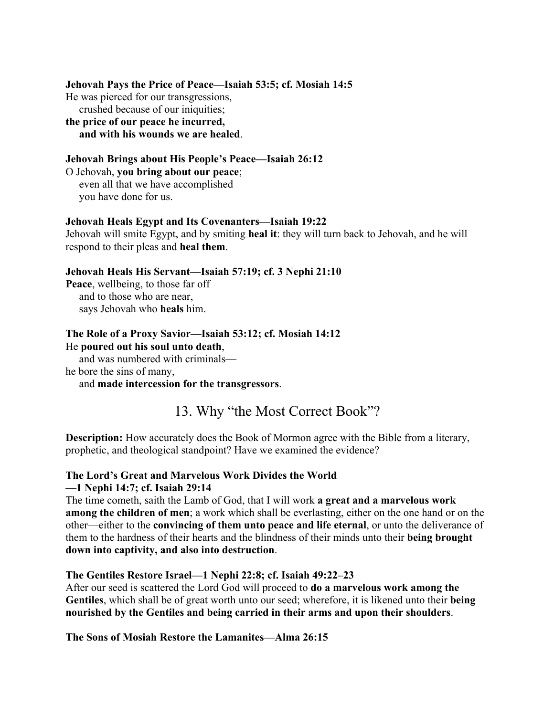#### **Jehovah Pays the Price of Peace—Isaiah 53:5; cf. Mosiah 14:5**

He was pierced for our transgressions,

 crushed because of our iniquities; **the price of our peace he incurred, and with his wounds we are healed**.

## **Jehovah Brings about His People's Peace—Isaiah 26:12**

O Jehovah, **you bring about our peace**; even all that we have accomplished you have done for us.

#### **Jehovah Heals Egypt and Its Covenanters—Isaiah 19:22**

Jehovah will smite Egypt, and by smiting **heal it**: they will turn back to Jehovah, and he will respond to their pleas and **heal them**.

### **Jehovah Heals His Servant—Isaiah 57:19; cf. 3 Nephi 21:10**

**Peace**, wellbeing, to those far off and to those who are near, says Jehovah who **heals** him.

#### **The Role of a Proxy Savior—Isaiah 53:12; cf. Mosiah 14:12** He **poured out his soul unto death**,

and was numbered with criminals—

he bore the sins of many,

### and **made intercession for the transgressors**.

# 13. Why "the Most Correct Book"?

**Description:** How accurately does the Book of Mormon agree with the Bible from a literary, prophetic, and theological standpoint? Have we examined the evidence?

### **The Lord's Great and Marvelous Work Divides the World —1 Nephi 14:7; cf. Isaiah 29:14**

The time cometh, saith the Lamb of God, that I will work **a great and a marvelous work among the children of men**; a work which shall be everlasting, either on the one hand or on the other—either to the **convincing of them unto peace and life eternal**, or unto the deliverance of them to the hardness of their hearts and the blindness of their minds unto their **being brought down into captivity, and also into destruction**.

#### **The Gentiles Restore Israel—1 Nephi 22:8; cf. Isaiah 49:22–23**

After our seed is scattered the Lord God will proceed to **do a marvelous work among the Gentiles**, which shall be of great worth unto our seed; wherefore, it is likened unto their **being nourished by the Gentiles and being carried in their arms and upon their shoulders**.

#### **The Sons of Mosiah Restore the Lamanites—Alma 26:15**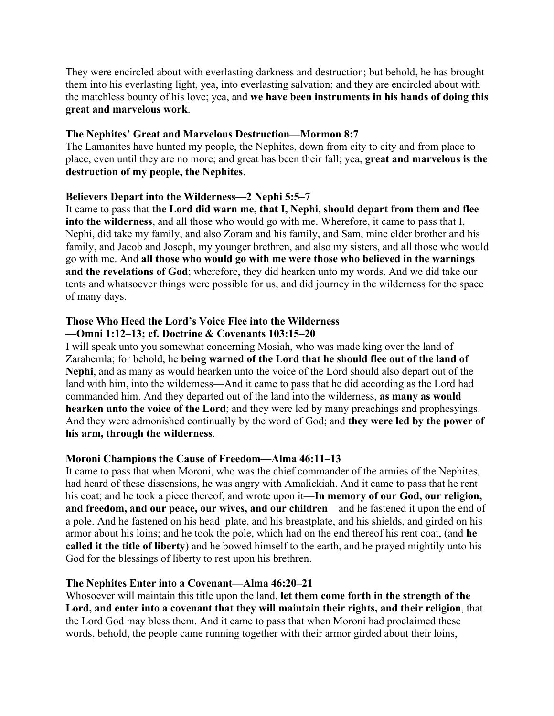They were encircled about with everlasting darkness and destruction; but behold, he has brought them into his everlasting light, yea, into everlasting salvation; and they are encircled about with the matchless bounty of his love; yea, and **we have been instruments in his hands of doing this great and marvelous work**.

### **The Nephites' Great and Marvelous Destruction—Mormon 8:7**

The Lamanites have hunted my people, the Nephites, down from city to city and from place to place, even until they are no more; and great has been their fall; yea, **great and marvelous is the destruction of my people, the Nephites**.

### **Believers Depart into the Wilderness—2 Nephi 5:5–7**

It came to pass that **the Lord did warn me, that I, Nephi, should depart from them and flee into the wilderness**, and all those who would go with me. Wherefore, it came to pass that I, Nephi, did take my family, and also Zoram and his family, and Sam, mine elder brother and his family, and Jacob and Joseph, my younger brethren, and also my sisters, and all those who would go with me. And **all those who would go with me were those who believed in the warnings and the revelations of God**; wherefore, they did hearken unto my words. And we did take our tents and whatsoever things were possible for us, and did journey in the wilderness for the space of many days.

### **Those Who Heed the Lord's Voice Flee into the Wilderness**

### **—Omni 1:12–13; cf. Doctrine & Covenants 103:15–20**

I will speak unto you somewhat concerning Mosiah, who was made king over the land of Zarahemla; for behold, he **being warned of the Lord that he should flee out of the land of Nephi**, and as many as would hearken unto the voice of the Lord should also depart out of the land with him, into the wilderness—And it came to pass that he did according as the Lord had commanded him. And they departed out of the land into the wilderness, **as many as would hearken unto the voice of the Lord**; and they were led by many preachings and prophesyings. And they were admonished continually by the word of God; and **they were led by the power of his arm, through the wilderness**.

## **Moroni Champions the Cause of Freedom—Alma 46:11–13**

It came to pass that when Moroni, who was the chief commander of the armies of the Nephites, had heard of these dissensions, he was angry with Amalickiah. And it came to pass that he rent his coat; and he took a piece thereof, and wrote upon it—**In memory of our God, our religion, and freedom, and our peace, our wives, and our children**—and he fastened it upon the end of a pole. And he fastened on his head–plate, and his breastplate, and his shields, and girded on his armor about his loins; and he took the pole, which had on the end thereof his rent coat, (and **he called it the title of liberty**) and he bowed himself to the earth, and he prayed mightily unto his God for the blessings of liberty to rest upon his brethren.

## **The Nephites Enter into a Covenant—Alma 46:20–21**

Whosoever will maintain this title upon the land, **let them come forth in the strength of the Lord, and enter into a covenant that they will maintain their rights, and their religion**, that the Lord God may bless them. And it came to pass that when Moroni had proclaimed these words, behold, the people came running together with their armor girded about their loins,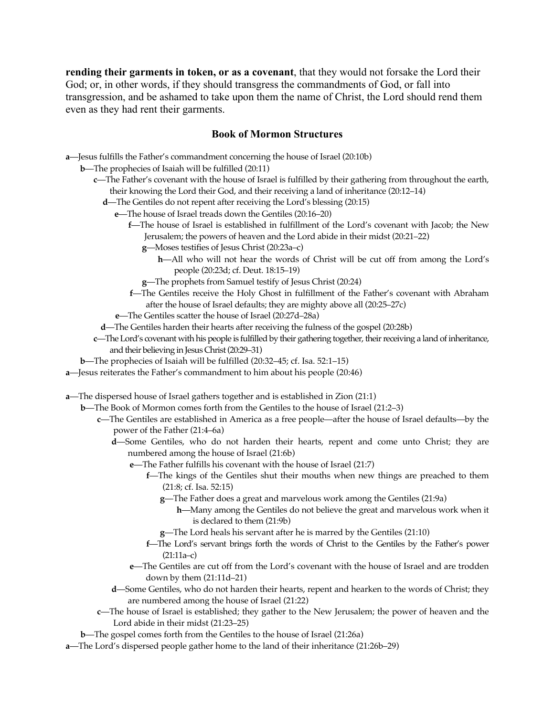**rending their garments in token, or as a covenant**, that they would not forsake the Lord their God; or, in other words, if they should transgress the commandments of God, or fall into transgression, and be ashamed to take upon them the name of Christ, the Lord should rend them even as they had rent their garments.

#### **Book of Mormon Structures**

- **a**—Jesus fulfills the Father's commandment concerning the house of Israel (20:10b)
	- **b**—The prophecies of Isaiah will be fulfilled (20:11)
		- **c**—The Father's covenant with the house of Israel is fulfilled by their gathering from throughout the earth, their knowing the Lord their God, and their receiving a land of inheritance (20:12–14)
			- **d**—The Gentiles do not repent after receiving the Lord's blessing (20:15)
				- **e**—The house of Israel treads down the Gentiles (20:16–20)
					- **f**—The house of Israel is established in fulfillment of the Lord's covenant with Jacob; the New Jerusalem; the powers of heaven and the Lord abide in their midst (20:21–22)
						- **g**—Moses testifies of Jesus Christ (20:23a–c)
							- **h**—All who will not hear the words of Christ will be cut off from among the Lord's people (20:23d; cf. Deut. 18:15–19)
						- **g**—The prophets from Samuel testify of Jesus Christ (20:24)
					- **f**—The Gentiles receive the Holy Ghost in fulfillment of the Father's covenant with Abraham after the house of Israel defaults; they are mighty above all (20:25–27c)
				- **e**—The Gentiles scatter the house of Israel (20:27d–28a)
			- **d**—The Gentiles harden their hearts after receiving the fulness of the gospel (20:28b)
		- **c**—The Lord's covenant with his people is fulfilled by their gathering together, their receiving a land of inheritance, and their believing in Jesus Christ (20:29–31)
	- **b**—The prophecies of Isaiah will be fulfilled (20:32–45; cf. Isa. 52:1–15)
- **a**—Jesus reiterates the Father's commandment to him about his people (20:46)

**a**—The dispersed house of Israel gathers together and is established in Zion (21:1)

- **b**—The Book of Mormon comes forth from the Gentiles to the house of Israel (21:2–3)
	- **c**—The Gentiles are established in America as a free people—after the house of Israel defaults—by the power of the Father (21:4–6a)
		- **d**—Some Gentiles, who do not harden their hearts, repent and come unto Christ; they are numbered among the house of Israel (21:6b)
			- **e**—The Father fulfills his covenant with the house of Israel (21:7)
				- **f**—The kings of the Gentiles shut their mouths when new things are preached to them (21:8; cf. Isa. 52:15)
					- **g**—The Father does a great and marvelous work among the Gentiles (21:9a)
						- **h**—Many among the Gentiles do not believe the great and marvelous work when it is declared to them (21:9b)
					- **g**—The Lord heals his servant after he is marred by the Gentiles (21:10)
				- **f**—The Lord's servant brings forth the words of Christ to the Gentiles by the Father's power (21:11a–c)
			- **e**—The Gentiles are cut off from the Lord's covenant with the house of Israel and are trodden down by them (21:11d–21)
		- **d**—Some Gentiles, who do not harden their hearts, repent and hearken to the words of Christ; they are numbered among the house of Israel (21:22)
	- **c**—The house of Israel is established; they gather to the New Jerusalem; the power of heaven and the Lord abide in their midst (21:23–25)
- **b**—The gospel comes forth from the Gentiles to the house of Israel (21:26a)
- **a**—The Lord's dispersed people gather home to the land of their inheritance (21:26b–29)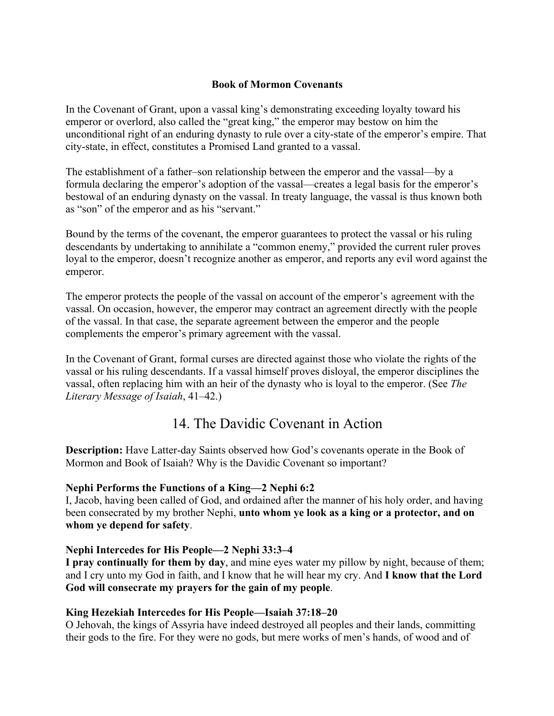### **Book of Mormon Covenants**

In the Covenant of Grant, upon a vassal king's demonstrating exceeding loyalty toward his emperor or overlord, also called the "great king," the emperor may bestow on him the unconditional right of an enduring dynasty to rule over a city-state of the emperor's empire. That city-state, in effect, constitutes a Promised Land granted to a vassal.

The establishment of a father–son relationship between the emperor and the vassal—by a formula declaring the emperor's adoption of the vassal—creates a legal basis for the emperor's bestowal of an enduring dynasty on the vassal. In treaty language, the vassal is thus known both as "son" of the emperor and as his "servant."

Bound by the terms of the covenant, the emperor guarantees to protect the vassal or his ruling descendants by undertaking to annihilate a "common enemy," provided the current ruler proves loyal to the emperor, doesn't recognize another as emperor, and reports any evil word against the emperor.

The emperor protects the people of the vassal on account of the emperor's agreement with the vassal. On occasion, however, the emperor may contract an agreement directly with the people of the vassal. In that case, the separate agreement between the emperor and the people complements the emperor's primary agreement with the vassal.

In the Covenant of Grant, formal curses are directed against those who violate the rights of the vassal or his ruling descendants. If a vassal himself proves disloyal, the emperor disciplines the vassal, often replacing him with an heir of the dynasty who is loyal to the emperor. (See *The Literary Message of Isaiah*, 41–42.)

# 14. The Davidic Covenant in Action

**Description:** Have Latter-day Saints observed how God's covenants operate in the Book of Mormon and Book of Isaiah? Why is the Davidic Covenant so important?

## **Nephi Performs the Functions of a King—2 Nephi 6:2**

I, Jacob, having been called of God, and ordained after the manner of his holy order, and having been consecrated by my brother Nephi, **unto whom ye look as a king or a protector, and on whom ye depend for safety**.

## **Nephi Intercedes for His People—2 Nephi 33:3–4**

**I pray continually for them by day**, and mine eyes water my pillow by night, because of them; and I cry unto my God in faith, and I know that he will hear my cry. And **I know that the Lord God will consecrate my prayers for the gain of my people**.

## **King Hezekiah Intercedes for His People—Isaiah 37:18–20**

O Jehovah, the kings of Assyria have indeed destroyed all peoples and their lands, committing their gods to the fire. For they were no gods, but mere works of men's hands, of wood and of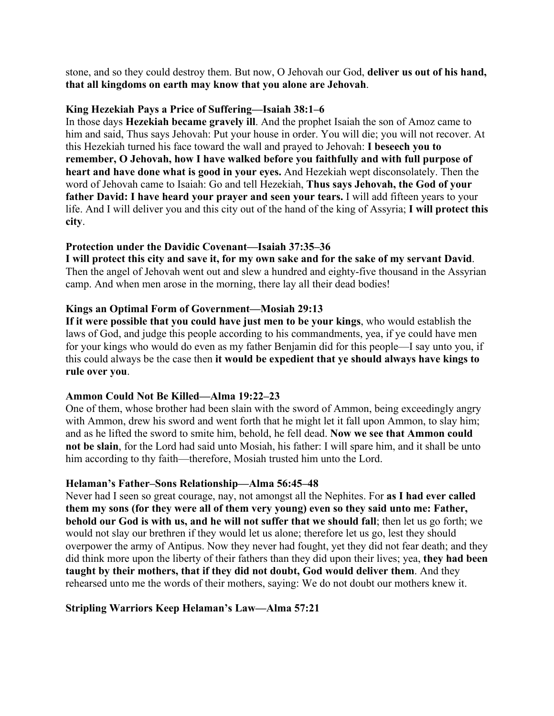stone, and so they could destroy them. But now, O Jehovah our God, **deliver us out of his hand, that all kingdoms on earth may know that you alone are Jehovah**.

### **King Hezekiah Pays a Price of Suffering—Isaiah 38:1–6**

In those days **Hezekiah became gravely ill**. And the prophet Isaiah the son of Amoz came to him and said, Thus says Jehovah: Put your house in order. You will die; you will not recover. At this Hezekiah turned his face toward the wall and prayed to Jehovah: **I beseech you to remember, O Jehovah, how I have walked before you faithfully and with full purpose of heart and have done what is good in your eyes.** And Hezekiah wept disconsolately. Then the word of Jehovah came to Isaiah: Go and tell Hezekiah, **Thus says Jehovah, the God of your father David: I have heard your prayer and seen your tears.** I will add fifteen years to your life. And I will deliver you and this city out of the hand of the king of Assyria; **I will protect this city**.

### **Protection under the Davidic Covenant—Isaiah 37:35–36**

**I will protect this city and save it, for my own sake and for the sake of my servant David**. Then the angel of Jehovah went out and slew a hundred and eighty-five thousand in the Assyrian camp. And when men arose in the morning, there lay all their dead bodies!

### **Kings an Optimal Form of Government—Mosiah 29:13**

**If it were possible that you could have just men to be your kings**, who would establish the laws of God, and judge this people according to his commandments, yea, if ye could have men for your kings who would do even as my father Benjamin did for this people—I say unto you, if this could always be the case then **it would be expedient that ye should always have kings to rule over you**.

#### **Ammon Could Not Be Killed—Alma 19:22–23**

One of them, whose brother had been slain with the sword of Ammon, being exceedingly angry with Ammon, drew his sword and went forth that he might let it fall upon Ammon, to slay him; and as he lifted the sword to smite him, behold, he fell dead. **Now we see that Ammon could not be slain**, for the Lord had said unto Mosiah, his father: I will spare him, and it shall be unto him according to thy faith—therefore, Mosiah trusted him unto the Lord.

#### **Helaman's Father–Sons Relationship—Alma 56:45–48**

Never had I seen so great courage, nay, not amongst all the Nephites. For **as I had ever called them my sons (for they were all of them very young) even so they said unto me: Father, behold our God is with us, and he will not suffer that we should fall**; then let us go forth; we would not slay our brethren if they would let us alone; therefore let us go, lest they should overpower the army of Antipus. Now they never had fought, yet they did not fear death; and they did think more upon the liberty of their fathers than they did upon their lives; yea, **they had been taught by their mothers, that if they did not doubt, God would deliver them**. And they rehearsed unto me the words of their mothers, saying: We do not doubt our mothers knew it.

#### **Stripling Warriors Keep Helaman's Law—Alma 57:21**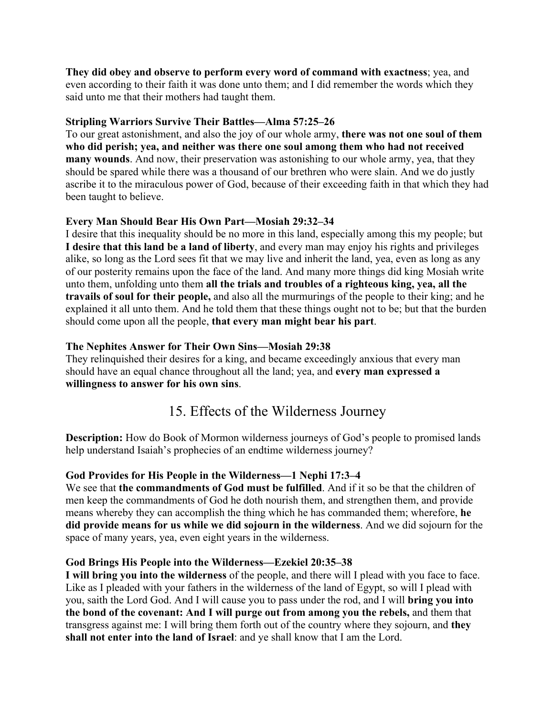**They did obey and observe to perform every word of command with exactness**; yea, and even according to their faith it was done unto them; and I did remember the words which they said unto me that their mothers had taught them.

### **Stripling Warriors Survive Their Battles—Alma 57:25–26**

To our great astonishment, and also the joy of our whole army, **there was not one soul of them who did perish; yea, and neither was there one soul among them who had not received many wounds**. And now, their preservation was astonishing to our whole army, yea, that they should be spared while there was a thousand of our brethren who were slain. And we do justly ascribe it to the miraculous power of God, because of their exceeding faith in that which they had been taught to believe.

### **Every Man Should Bear His Own Part—Mosiah 29:32–34**

I desire that this inequality should be no more in this land, especially among this my people; but **I desire that this land be a land of liberty**, and every man may enjoy his rights and privileges alike, so long as the Lord sees fit that we may live and inherit the land, yea, even as long as any of our posterity remains upon the face of the land. And many more things did king Mosiah write unto them, unfolding unto them **all the trials and troubles of a righteous king, yea, all the travails of soul for their people,** and also all the murmurings of the people to their king; and he explained it all unto them. And he told them that these things ought not to be; but that the burden should come upon all the people, **that every man might bear his part**.

## **The Nephites Answer for Their Own Sins—Mosiah 29:38**

They relinquished their desires for a king, and became exceedingly anxious that every man should have an equal chance throughout all the land; yea, and **every man expressed a willingness to answer for his own sins**.

# 15. Effects of the Wilderness Journey

**Description:** How do Book of Mormon wilderness journeys of God's people to promised lands help understand Isaiah's prophecies of an endtime wilderness journey?

## **God Provides for His People in the Wilderness—1 Nephi 17:3–4**

We see that **the commandments of God must be fulfilled**. And if it so be that the children of men keep the commandments of God he doth nourish them, and strengthen them, and provide means whereby they can accomplish the thing which he has commanded them; wherefore, **he did provide means for us while we did sojourn in the wilderness**. And we did sojourn for the space of many years, yea, even eight years in the wilderness.

## **God Brings His People into the Wilderness—Ezekiel 20:35–38**

**I will bring you into the wilderness** of the people, and there will I plead with you face to face. Like as I pleaded with your fathers in the wilderness of the land of Egypt, so will I plead with you, saith the Lord God. And I will cause you to pass under the rod, and I will **bring you into the bond of the covenant: And I will purge out from among you the rebels,** and them that transgress against me: I will bring them forth out of the country where they sojourn, and **they shall not enter into the land of Israel**: and ye shall know that I am the Lord.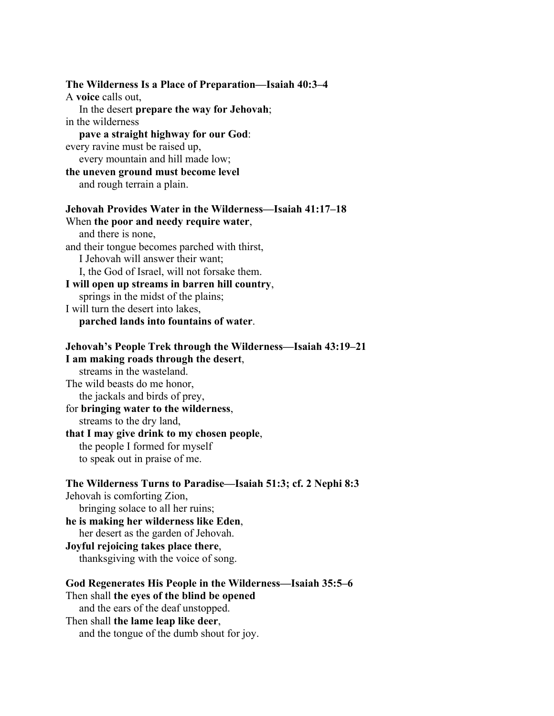**The Wilderness Is a Place of Preparation—Isaiah 40:3–4** A **voice** calls out, In the desert **prepare the way for Jehovah**; in the wilderness **pave a straight highway for our God**: every ravine must be raised up, every mountain and hill made low; **the uneven ground must become level** and rough terrain a plain. **Jehovah Provides Water in the Wilderness—Isaiah 41:17–18** When **the poor and needy require water**, and there is none, and their tongue becomes parched with thirst, I Jehovah will answer their want; I, the God of Israel, will not forsake them. **I will open up streams in barren hill country**, springs in the midst of the plains; I will turn the desert into lakes, **parched lands into fountains of water**. **Jehovah's People Trek through the Wilderness—Isaiah 43:19–21 I am making roads through the desert**, streams in the wasteland. The wild beasts do me honor, the jackals and birds of prey, for **bringing water to the wilderness**, streams to the dry land, **that I may give drink to my chosen people**, the people I formed for myself to speak out in praise of me. **The Wilderness Turns to Paradise—Isaiah 51:3; cf. 2 Nephi 8:3** Jehovah is comforting Zion, bringing solace to all her ruins; **he is making her wilderness like Eden**, her desert as the garden of Jehovah. **Joyful rejoicing takes place there**, thanksgiving with the voice of song. **God Regenerates His People in the Wilderness—Isaiah 35:5–6** Then shall **the eyes of the blind be opened** and the ears of the deaf unstopped. Then shall **the lame leap like deer**, and the tongue of the dumb shout for joy.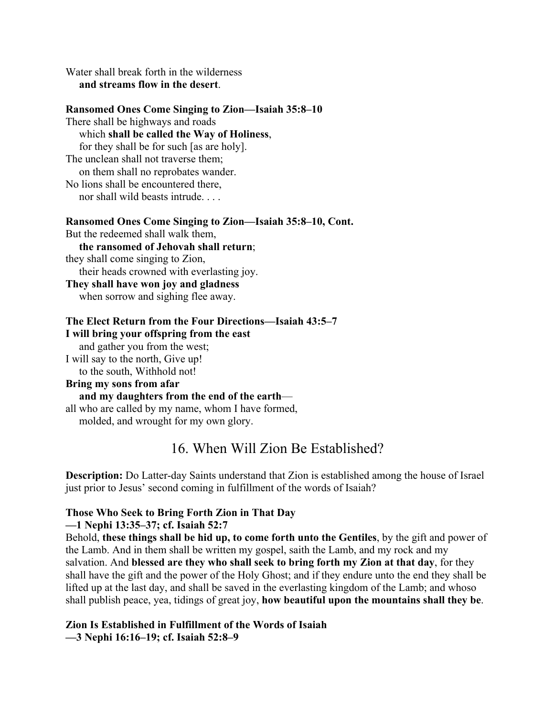Water shall break forth in the wilderness **and streams flow in the desert**.

#### **Ransomed Ones Come Singing to Zion—Isaiah 35:8–10**

There shall be highways and roads which **shall be called the Way of Holiness**, for they shall be for such [as are holy]. The unclean shall not traverse them; on them shall no reprobates wander. No lions shall be encountered there, nor shall wild beasts intrude. . . .

#### **Ransomed Ones Come Singing to Zion—Isaiah 35:8–10, Cont.**

But the redeemed shall walk them, **the ransomed of Jehovah shall return**; they shall come singing to Zion, their heads crowned with everlasting joy. **They shall have won joy and gladness**

when sorrow and sighing flee away.

## **The Elect Return from the Four Directions—Isaiah 43:5–7 I will bring your offspring from the east** and gather you from the west;

I will say to the north, Give up!

to the south, Withhold not!

# **Bring my sons from afar**

 **and my daughters from the end of the earth** all who are called by my name, whom I have formed, molded, and wrought for my own glory.

# 16. When Will Zion Be Established?

**Description:** Do Latter-day Saints understand that Zion is established among the house of Israel just prior to Jesus' second coming in fulfillment of the words of Isaiah?

#### **Those Who Seek to Bring Forth Zion in That Day**

#### **—1 Nephi 13:35–37; cf. Isaiah 52:7**

Behold, **these things shall be hid up, to come forth unto the Gentiles**, by the gift and power of the Lamb. And in them shall be written my gospel, saith the Lamb, and my rock and my salvation. And **blessed are they who shall seek to bring forth my Zion at that day**, for they shall have the gift and the power of the Holy Ghost; and if they endure unto the end they shall be lifted up at the last day, and shall be saved in the everlasting kingdom of the Lamb; and whoso shall publish peace, yea, tidings of great joy, **how beautiful upon the mountains shall they be**.

#### **Zion Is Established in Fulfillment of the Words of Isaiah —3 Nephi 16:16–19; cf. Isaiah 52:8–9**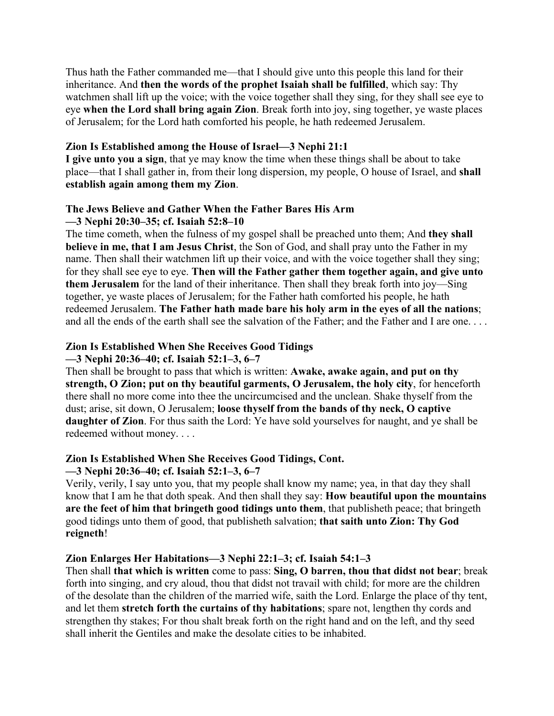Thus hath the Father commanded me—that I should give unto this people this land for their inheritance. And **then the words of the prophet Isaiah shall be fulfilled**, which say: Thy watchmen shall lift up the voice; with the voice together shall they sing, for they shall see eye to eye **when the Lord shall bring again Zion**. Break forth into joy, sing together, ye waste places of Jerusalem; for the Lord hath comforted his people, he hath redeemed Jerusalem.

#### **Zion Is Established among the House of Israel—3 Nephi 21:1**

**I give unto you a sign**, that ye may know the time when these things shall be about to take place—that I shall gather in, from their long dispersion, my people, O house of Israel, and **shall establish again among them my Zion**.

#### **The Jews Believe and Gather When the Father Bares His Arm —3 Nephi 20:30–35; cf. Isaiah 52:8–10**

The time cometh, when the fulness of my gospel shall be preached unto them; And **they shall believe in me, that I am Jesus Christ**, the Son of God, and shall pray unto the Father in my name. Then shall their watchmen lift up their voice, and with the voice together shall they sing; for they shall see eye to eye. **Then will the Father gather them together again, and give unto them Jerusalem** for the land of their inheritance. Then shall they break forth into joy—Sing together, ye waste places of Jerusalem; for the Father hath comforted his people, he hath redeemed Jerusalem. **The Father hath made bare his holy arm in the eyes of all the nations**; and all the ends of the earth shall see the salvation of the Father; and the Father and I are one. . . .

#### **Zion Is Established When She Receives Good Tidings**

#### **—3 Nephi 20:36–40; cf. Isaiah 52:1–3, 6–7**

Then shall be brought to pass that which is written: **Awake, awake again, and put on thy strength, O Zion; put on thy beautiful garments, O Jerusalem, the holy city**, for henceforth there shall no more come into thee the uncircumcised and the unclean. Shake thyself from the dust; arise, sit down, O Jerusalem; **loose thyself from the bands of thy neck, O captive daughter of Zion**. For thus saith the Lord: Ye have sold yourselves for naught, and ye shall be redeemed without money. . . .

#### **Zion Is Established When She Receives Good Tidings, Cont.**

#### **—3 Nephi 20:36–40; cf. Isaiah 52:1–3, 6–7**

Verily, verily, I say unto you, that my people shall know my name; yea, in that day they shall know that I am he that doth speak. And then shall they say: **How beautiful upon the mountains are the feet of him that bringeth good tidings unto them**, that publisheth peace; that bringeth good tidings unto them of good, that publisheth salvation; **that saith unto Zion: Thy God reigneth**!

#### **Zion Enlarges Her Habitations—3 Nephi 22:1–3; cf. Isaiah 54:1–3**

Then shall **that which is written** come to pass: **Sing, O barren, thou that didst not bear**; break forth into singing, and cry aloud, thou that didst not travail with child; for more are the children of the desolate than the children of the married wife, saith the Lord. Enlarge the place of thy tent, and let them **stretch forth the curtains of thy habitations**; spare not, lengthen thy cords and strengthen thy stakes; For thou shalt break forth on the right hand and on the left, and thy seed shall inherit the Gentiles and make the desolate cities to be inhabited.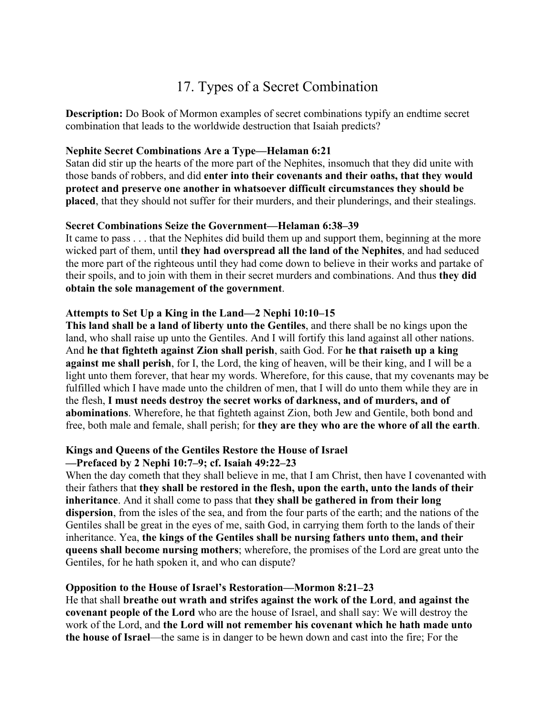# 17. Types of a Secret Combination

**Description:** Do Book of Mormon examples of secret combinations typify an endtime secret combination that leads to the worldwide destruction that Isaiah predicts?

### **Nephite Secret Combinations Are a Type—Helaman 6:21**

Satan did stir up the hearts of the more part of the Nephites, insomuch that they did unite with those bands of robbers, and did **enter into their covenants and their oaths, that they would protect and preserve one another in whatsoever difficult circumstances they should be placed**, that they should not suffer for their murders, and their plunderings, and their stealings.

### **Secret Combinations Seize the Government—Helaman 6:38–39**

It came to pass . . . that the Nephites did build them up and support them, beginning at the more wicked part of them, until **they had overspread all the land of the Nephites**, and had seduced the more part of the righteous until they had come down to believe in their works and partake of their spoils, and to join with them in their secret murders and combinations. And thus **they did obtain the sole management of the government**.

## **Attempts to Set Up a King in the Land—2 Nephi 10:10–15**

**This land shall be a land of liberty unto the Gentiles**, and there shall be no kings upon the land, who shall raise up unto the Gentiles. And I will fortify this land against all other nations. And **he that fighteth against Zion shall perish**, saith God. For **he that raiseth up a king against me shall perish**, for I, the Lord, the king of heaven, will be their king, and I will be a light unto them forever, that hear my words. Wherefore, for this cause, that my covenants may be fulfilled which I have made unto the children of men, that I will do unto them while they are in the flesh, **I must needs destroy the secret works of darkness, and of murders, and of abominations**. Wherefore, he that fighteth against Zion, both Jew and Gentile, both bond and free, both male and female, shall perish; for **they are they who are the whore of all the earth**.

# **Kings and Queens of the Gentiles Restore the House of Israel**

# **—Prefaced by 2 Nephi 10:7–9; cf. Isaiah 49:22–23**

When the day cometh that they shall believe in me, that I am Christ, then have I covenanted with their fathers that **they shall be restored in the flesh, upon the earth, unto the lands of their inheritance**. And it shall come to pass that **they shall be gathered in from their long dispersion**, from the isles of the sea, and from the four parts of the earth; and the nations of the Gentiles shall be great in the eyes of me, saith God, in carrying them forth to the lands of their inheritance. Yea, **the kings of the Gentiles shall be nursing fathers unto them, and their queens shall become nursing mothers**; wherefore, the promises of the Lord are great unto the Gentiles, for he hath spoken it, and who can dispute?

## **Opposition to the House of Israel's Restoration—Mormon 8:21–23**

He that shall **breathe out wrath and strifes against the work of the Lord**, **and against the covenant people of the Lord** who are the house of Israel, and shall say: We will destroy the work of the Lord, and **the Lord will not remember his covenant which he hath made unto the house of Israel**—the same is in danger to be hewn down and cast into the fire; For the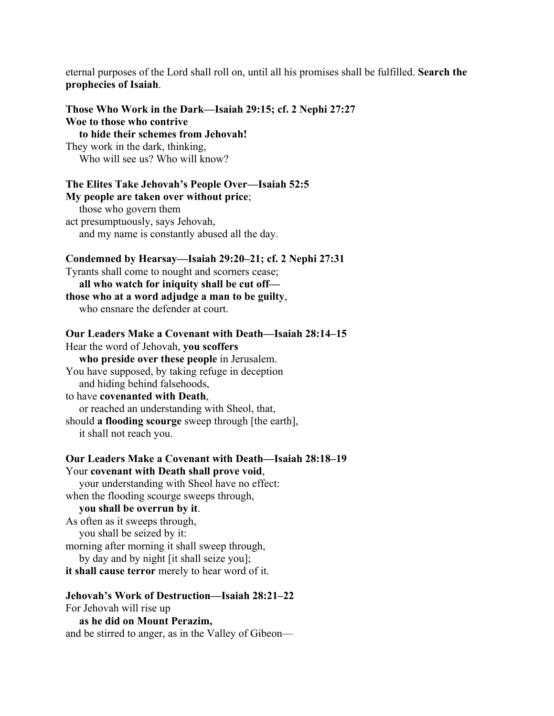eternal purposes of the Lord shall roll on, until all his promises shall be fulfilled. **Search the prophecies of Isaiah**.

| Those Who Work in the Dark—Isaiah 29:15; cf. 2 Nephi 27:27<br>Woe to those who contrive<br>to hide their schemes from Jehovah!<br>They work in the dark, thinking,<br>Who will see us? Who will know?                                                                                                                                                                                                                                                      |  |
|------------------------------------------------------------------------------------------------------------------------------------------------------------------------------------------------------------------------------------------------------------------------------------------------------------------------------------------------------------------------------------------------------------------------------------------------------------|--|
| The Elites Take Jehovah's People Over—Isaiah 52:5<br>My people are taken over without price;<br>those who govern them<br>act presumptuously, says Jehovah,<br>and my name is constantly abused all the day.                                                                                                                                                                                                                                                |  |
| Condemned by Hearsay—Isaiah 29:20–21; cf. 2 Nephi 27:31<br>Tyrants shall come to nought and scorners cease;<br>all who watch for iniquity shall be cut off-<br>those who at a word adjudge a man to be guilty,<br>who ensnare the defender at court.                                                                                                                                                                                                       |  |
| Our Leaders Make a Covenant with Death-Isaiah 28:14-15<br>Hear the word of Jehovah, you scoffers<br>who preside over these people in Jerusalem.<br>You have supposed, by taking refuge in deception<br>and hiding behind falsehoods,<br>to have covenanted with Death,<br>or reached an understanding with Sheol, that,<br>should a flooding scourge sweep through [the earth],<br>it shall not reach you.                                                 |  |
| Our Leaders Make a Covenant with Death—Isaiah 28:18-19<br>Your covenant with Death shall prove void,<br>your understanding with Sheol have no effect:<br>when the flooding scourge sweeps through,<br>you shall be overrun by it.<br>As often as it sweeps through,<br>you shall be seized by it:<br>morning after morning it shall sweep through,<br>by day and by night [it shall seize you];<br><b>it shall cause terror</b> merely to hear word of it. |  |
| Jehovah's Work of Destruction—Isaiah 28:21–22<br>For Jehovah will rise up<br>as he did on Mount Perazim,                                                                                                                                                                                                                                                                                                                                                   |  |

and be stirred to anger, as in the Valley of Gibeon—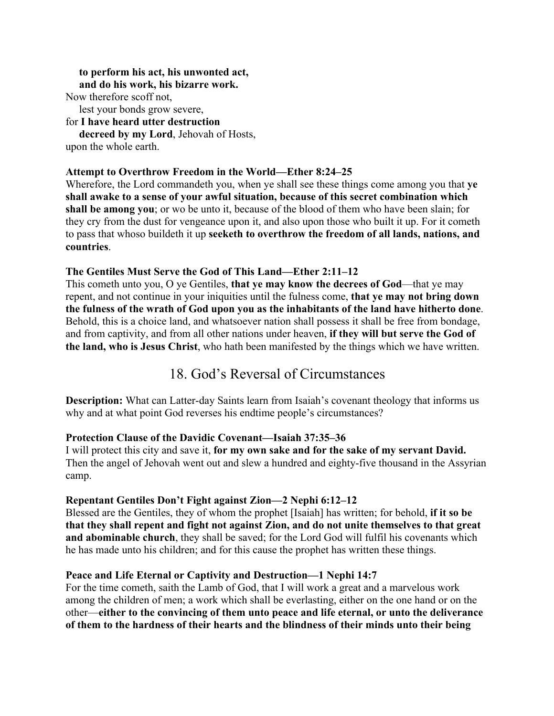#### **to perform his act, his unwonted act, and do his work, his bizarre work.**

Now therefore scoff not,

lest your bonds grow severe,

for **I have heard utter destruction**

 **decreed by my Lord**, Jehovah of Hosts, upon the whole earth.

# **Attempt to Overthrow Freedom in the World—Ether 8:24–25**

Wherefore, the Lord commandeth you, when ye shall see these things come among you that **ye shall awake to a sense of your awful situation, because of this secret combination which shall be among you**; or wo be unto it, because of the blood of them who have been slain; for they cry from the dust for vengeance upon it, and also upon those who built it up. For it cometh to pass that whoso buildeth it up **seeketh to overthrow the freedom of all lands, nations, and countries**.

### **The Gentiles Must Serve the God of This Land—Ether 2:11–12**

This cometh unto you, O ye Gentiles, **that ye may know the decrees of God**—that ye may repent, and not continue in your iniquities until the fulness come, **that ye may not bring down the fulness of the wrath of God upon you as the inhabitants of the land have hitherto done**. Behold, this is a choice land, and whatsoever nation shall possess it shall be free from bondage, and from captivity, and from all other nations under heaven, **if they will but serve the God of the land, who is Jesus Christ**, who hath been manifested by the things which we have written.

# 18. God's Reversal of Circumstances

**Description:** What can Latter-day Saints learn from Isaiah's covenant theology that informs us why and at what point God reverses his endtime people's circumstances?

#### **Protection Clause of the Davidic Covenant—Isaiah 37:35–36**

I will protect this city and save it, **for my own sake and for the sake of my servant David.** Then the angel of Jehovah went out and slew a hundred and eighty-five thousand in the Assyrian camp.

## **Repentant Gentiles Don't Fight against Zion—2 Nephi 6:12–12**

Blessed are the Gentiles, they of whom the prophet [Isaiah] has written; for behold, **if it so be that they shall repent and fight not against Zion, and do not unite themselves to that great and abominable church**, they shall be saved; for the Lord God will fulfil his covenants which he has made unto his children; and for this cause the prophet has written these things.

## **Peace and Life Eternal or Captivity and Destruction—1 Nephi 14:7**

For the time cometh, saith the Lamb of God, that I will work a great and a marvelous work among the children of men; a work which shall be everlasting, either on the one hand or on the other—**either to the convincing of them unto peace and life eternal, or unto the deliverance of them to the hardness of their hearts and the blindness of their minds unto their being**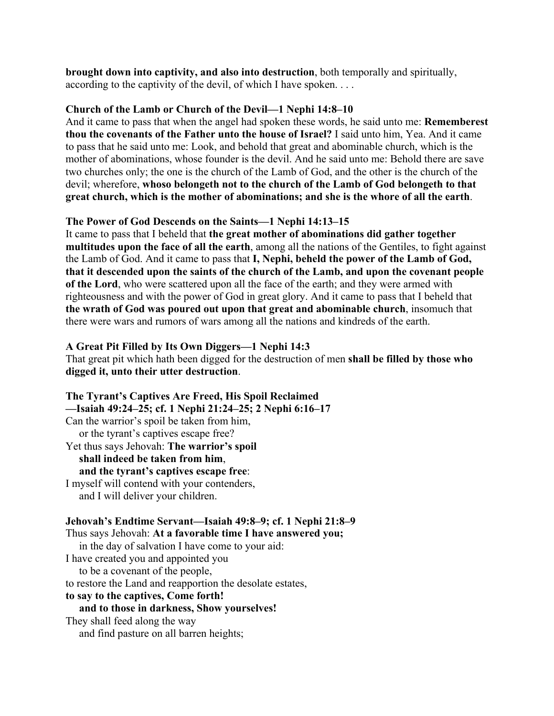**brought down into captivity, and also into destruction**, both temporally and spiritually, according to the captivity of the devil, of which I have spoken. . . .

### **Church of the Lamb or Church of the Devil—1 Nephi 14:8–10**

And it came to pass that when the angel had spoken these words, he said unto me: **Rememberest thou the covenants of the Father unto the house of Israel?** I said unto him, Yea. And it came to pass that he said unto me: Look, and behold that great and abominable church, which is the mother of abominations, whose founder is the devil. And he said unto me: Behold there are save two churches only; the one is the church of the Lamb of God, and the other is the church of the devil; wherefore, **whoso belongeth not to the church of the Lamb of God belongeth to that great church, which is the mother of abominations; and she is the whore of all the earth**.

## **The Power of God Descends on the Saints—1 Nephi 14:13–15**

It came to pass that I beheld that **the great mother of abominations did gather together multitudes upon the face of all the earth**, among all the nations of the Gentiles, to fight against the Lamb of God. And it came to pass that **I, Nephi, beheld the power of the Lamb of God, that it descended upon the saints of the church of the Lamb, and upon the covenant people of the Lord**, who were scattered upon all the face of the earth; and they were armed with righteousness and with the power of God in great glory. And it came to pass that I beheld that **the wrath of God was poured out upon that great and abominable church**, insomuch that there were wars and rumors of wars among all the nations and kindreds of the earth.

### **A Great Pit Filled by Its Own Diggers—1 Nephi 14:3**

That great pit which hath been digged for the destruction of men **shall be filled by those who digged it, unto their utter destruction**.

**The Tyrant's Captives Are Freed, His Spoil Reclaimed —Isaiah 49:24–25; cf. 1 Nephi 21:24–25; 2 Nephi 6:16–17** Can the warrior's spoil be taken from him, or the tyrant's captives escape free? Yet thus says Jehovah: **The warrior's spoil shall indeed be taken from him**, **and the tyrant's captives escape free**: I myself will contend with your contenders, and I will deliver your children. **Jehovah's Endtime Servant—Isaiah 49:8–9; cf. 1 Nephi 21:8–9** Thus says Jehovah: **At a favorable time I have answered you;**

 in the day of salvation I have come to your aid: I have created you and appointed you to be a covenant of the people, to restore the Land and reapportion the desolate estates, **to say to the captives, Come forth! and to those in darkness, Show yourselves!** They shall feed along the way and find pasture on all barren heights;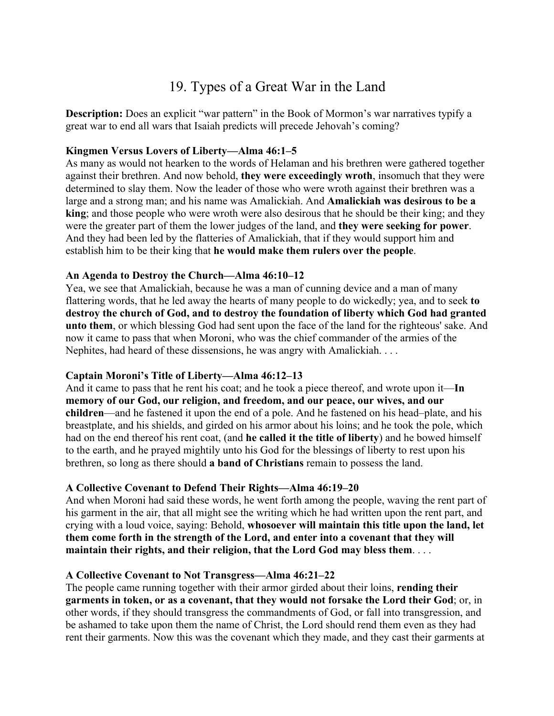# 19. Types of a Great War in the Land

**Description:** Does an explicit "war pattern" in the Book of Mormon's war narratives typify a great war to end all wars that Isaiah predicts will precede Jehovah's coming?

### **Kingmen Versus Lovers of Liberty—Alma 46:1–5**

As many as would not hearken to the words of Helaman and his brethren were gathered together against their brethren. And now behold, **they were exceedingly wroth**, insomuch that they were determined to slay them. Now the leader of those who were wroth against their brethren was a large and a strong man; and his name was Amalickiah. And **Amalickiah was desirous to be a king**; and those people who were wroth were also desirous that he should be their king; and they were the greater part of them the lower judges of the land, and **they were seeking for power**. And they had been led by the flatteries of Amalickiah, that if they would support him and establish him to be their king that **he would make them rulers over the people**.

### **An Agenda to Destroy the Church—Alma 46:10–12**

Yea, we see that Amalickiah, because he was a man of cunning device and a man of many flattering words, that he led away the hearts of many people to do wickedly; yea, and to seek **to destroy the church of God, and to destroy the foundation of liberty which God had granted unto them**, or which blessing God had sent upon the face of the land for the righteous' sake. And now it came to pass that when Moroni, who was the chief commander of the armies of the Nephites, had heard of these dissensions, he was angry with Amalickiah. . . .

## **Captain Moroni's Title of Liberty—Alma 46:12–13**

And it came to pass that he rent his coat; and he took a piece thereof, and wrote upon it—**In memory of our God, our religion, and freedom, and our peace, our wives, and our children**—and he fastened it upon the end of a pole. And he fastened on his head–plate, and his breastplate, and his shields, and girded on his armor about his loins; and he took the pole, which had on the end thereof his rent coat, (and **he called it the title of liberty**) and he bowed himself to the earth, and he prayed mightily unto his God for the blessings of liberty to rest upon his brethren, so long as there should **a band of Christians** remain to possess the land.

## **A Collective Covenant to Defend Their Rights—Alma 46:19–20**

And when Moroni had said these words, he went forth among the people, waving the rent part of his garment in the air, that all might see the writing which he had written upon the rent part, and crying with a loud voice, saying: Behold, **whosoever will maintain this title upon the land, let them come forth in the strength of the Lord, and enter into a covenant that they will maintain their rights, and their religion, that the Lord God may bless them**. . . .

#### **A Collective Covenant to Not Transgress—Alma 46:21–22**

The people came running together with their armor girded about their loins, **rending their garments in token, or as a covenant, that they would not forsake the Lord their God**; or, in other words, if they should transgress the commandments of God, or fall into transgression, and be ashamed to take upon them the name of Christ, the Lord should rend them even as they had rent their garments. Now this was the covenant which they made, and they cast their garments at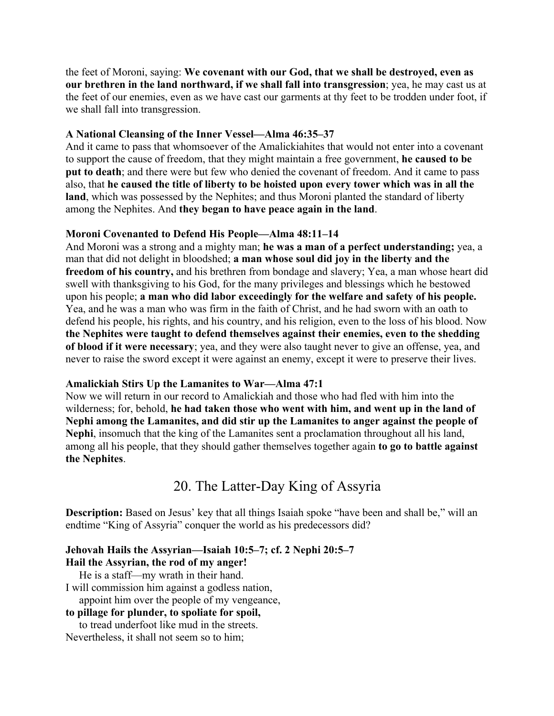the feet of Moroni, saying: **We covenant with our God, that we shall be destroyed, even as our brethren in the land northward, if we shall fall into transgression**; yea, he may cast us at the feet of our enemies, even as we have cast our garments at thy feet to be trodden under foot, if we shall fall into transgression.

#### **A National Cleansing of the Inner Vessel—Alma 46:35–37**

And it came to pass that whomsoever of the Amalickiahites that would not enter into a covenant to support the cause of freedom, that they might maintain a free government, **he caused to be put to death**; and there were but few who denied the covenant of freedom. And it came to pass also, that **he caused the title of liberty to be hoisted upon every tower which was in all the land**, which was possessed by the Nephites; and thus Moroni planted the standard of liberty among the Nephites. And **they began to have peace again in the land**.

#### **Moroni Covenanted to Defend His People—Alma 48:11–14**

And Moroni was a strong and a mighty man; **he was a man of a perfect understanding;** yea, a man that did not delight in bloodshed; **a man whose soul did joy in the liberty and the freedom of his country,** and his brethren from bondage and slavery; Yea, a man whose heart did swell with thanksgiving to his God, for the many privileges and blessings which he bestowed upon his people; **a man who did labor exceedingly for the welfare and safety of his people.**  Yea, and he was a man who was firm in the faith of Christ, and he had sworn with an oath to defend his people, his rights, and his country, and his religion, even to the loss of his blood. Now **the Nephites were taught to defend themselves against their enemies, even to the shedding of blood if it were necessary**; yea, and they were also taught never to give an offense, yea, and never to raise the sword except it were against an enemy, except it were to preserve their lives.

#### **Amalickiah Stirs Up the Lamanites to War—Alma 47:1**

Now we will return in our record to Amalickiah and those who had fled with him into the wilderness; for, behold, **he had taken those who went with him, and went up in the land of Nephi among the Lamanites, and did stir up the Lamanites to anger against the people of Nephi**, insomuch that the king of the Lamanites sent a proclamation throughout all his land, among all his people, that they should gather themselves together again **to go to battle against the Nephites**.

# 20. The Latter-Day King of Assyria

**Description:** Based on Jesus' key that all things Isaiah spoke "have been and shall be," will an endtime "King of Assyria" conquer the world as his predecessors did?

#### **Jehovah Hails the Assyrian—Isaiah 10:5–7; cf. 2 Nephi 20:5–7 Hail the Assyrian, the rod of my anger!**

He is a staff—my wrath in their hand.

I will commission him against a godless nation,

appoint him over the people of my vengeance,

#### **to pillage for plunder, to spoliate for spoil,**

 to tread underfoot like mud in the streets. Nevertheless, it shall not seem so to him;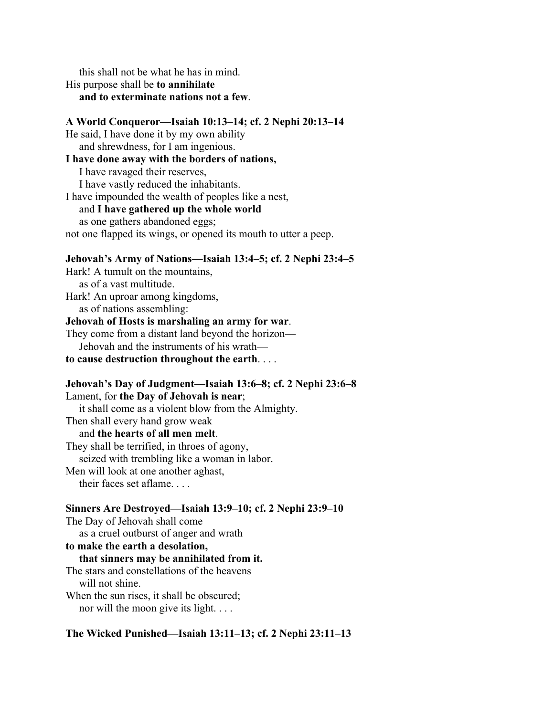this shall not be what he has in mind. His purpose shall be **to annihilate and to exterminate nations not a few**.

# **A World Conqueror—Isaiah 10:13–14; cf. 2 Nephi 20:13–14**

He said, I have done it by my own ability and shrewdness, for I am ingenious.

#### **I have done away with the borders of nations,**

 I have ravaged their reserves, I have vastly reduced the inhabitants. I have impounded the wealth of peoples like a nest, and **I have gathered up the whole world** as one gathers abandoned eggs; not one flapped its wings, or opened its mouth to utter a peep.

#### **Jehovah's Army of Nations—Isaiah 13:4–5; cf. 2 Nephi 23:4–5**

Hark! A tumult on the mountains, as of a vast multitude. Hark! An uproar among kingdoms, as of nations assembling: **Jehovah of Hosts is marshaling an army for war**.

They come from a distant land beyond the horizon— Jehovah and the instruments of his wrath **to cause destruction throughout the earth**. . . .

**Jehovah's Day of Judgment—Isaiah 13:6–8; cf. 2 Nephi 23:6–8**

Lament, for **the Day of Jehovah is near**; it shall come as a violent blow from the Almighty. Then shall every hand grow weak and **the hearts of all men melt**. They shall be terrified, in throes of agony, seized with trembling like a woman in labor. Men will look at one another aghast, their faces set aflame. . . .

### **Sinners Are Destroyed—Isaiah 13:9–10; cf. 2 Nephi 23:9–10** The Day of Jehovah shall come as a cruel outburst of anger and wrath **to make the earth a desolation, that sinners may be annihilated from it.** The stars and constellations of the heavens will not shine. When the sun rises, it shall be obscured; nor will the moon give its light. . . .

#### **The Wicked Punished—Isaiah 13:11–13; cf. 2 Nephi 23:11–13**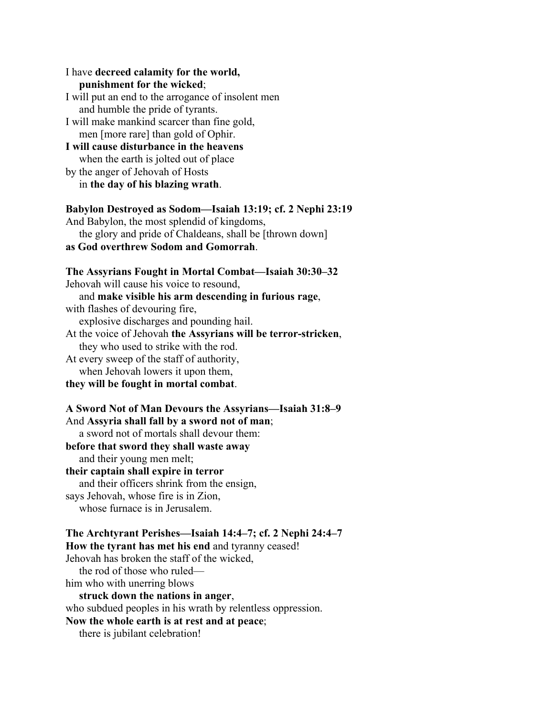I have **decreed calamity for the world, punishment for the wicked**; I will put an end to the arrogance of insolent men and humble the pride of tyrants. I will make mankind scarcer than fine gold, men [more rare] than gold of Ophir. **I will cause disturbance in the heavens** when the earth is jolted out of place by the anger of Jehovah of Hosts in **the day of his blazing wrath**. **Babylon Destroyed as Sodom—Isaiah 13:19; cf. 2 Nephi 23:19** And Babylon, the most splendid of kingdoms, the glory and pride of Chaldeans, shall be [thrown down] **as God overthrew Sodom and Gomorrah**. **The Assyrians Fought in Mortal Combat—Isaiah 30:30–32** Jehovah will cause his voice to resound, and **make visible his arm descending in furious rage**, with flashes of devouring fire, explosive discharges and pounding hail.

At the voice of Jehovah **the Assyrians will be terror-stricken**, they who used to strike with the rod.

At every sweep of the staff of authority, when Jehovah lowers it upon them,

**they will be fought in mortal combat**.

#### **A Sword Not of Man Devours the Assyrians—Isaiah 31:8–9**

And **Assyria shall fall by a sword not of man**;

a sword not of mortals shall devour them:

**before that sword they shall waste away**

and their young men melt;

### **their captain shall expire in terror**

and their officers shrink from the ensign,

says Jehovah, whose fire is in Zion,

whose furnace is in Jerusalem.

**The Archtyrant Perishes—Isaiah 14:4–7; cf. 2 Nephi 24:4–7 How the tyrant has met his end** and tyranny ceased! Jehovah has broken the staff of the wicked, the rod of those who ruled him who with unerring blows **struck down the nations in anger**, who subdued peoples in his wrath by relentless oppression. **Now the whole earth is at rest and at peace**; there is jubilant celebration!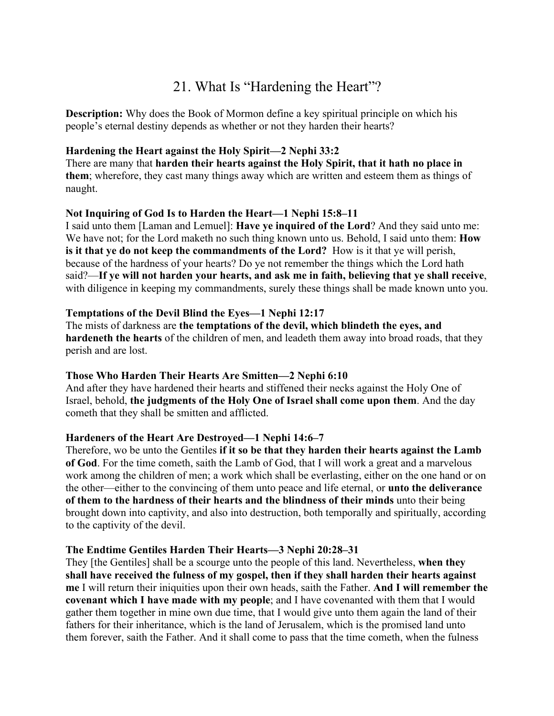# 21. What Is "Hardening the Heart"?

**Description:** Why does the Book of Mormon define a key spiritual principle on which his people's eternal destiny depends as whether or not they harden their hearts?

### **Hardening the Heart against the Holy Spirit—2 Nephi 33:2**

There are many that **harden their hearts against the Holy Spirit, that it hath no place in them**; wherefore, they cast many things away which are written and esteem them as things of naught.

### **Not Inquiring of God Is to Harden the Heart—1 Nephi 15:8–11**

I said unto them [Laman and Lemuel]: **Have ye inquired of the Lord**? And they said unto me: We have not; for the Lord maketh no such thing known unto us. Behold, I said unto them: **How is it that ye do not keep the commandments of the Lord?** How is it that ye will perish, because of the hardness of your hearts? Do ye not remember the things which the Lord hath said?—**If ye will not harden your hearts, and ask me in faith, believing that ye shall receive**, with diligence in keeping my commandments, surely these things shall be made known unto you.

### **Temptations of the Devil Blind the Eyes—1 Nephi 12:17**

The mists of darkness are **the temptations of the devil, which blindeth the eyes, and hardeneth the hearts** of the children of men, and leadeth them away into broad roads, that they perish and are lost.

## **Those Who Harden Their Hearts Are Smitten—2 Nephi 6:10**

And after they have hardened their hearts and stiffened their necks against the Holy One of Israel, behold, **the judgments of the Holy One of Israel shall come upon them**. And the day cometh that they shall be smitten and afflicted.

## **Hardeners of the Heart Are Destroyed—1 Nephi 14:6–7**

Therefore, wo be unto the Gentiles **if it so be that they harden their hearts against the Lamb of God**. For the time cometh, saith the Lamb of God, that I will work a great and a marvelous work among the children of men; a work which shall be everlasting, either on the one hand or on the other—either to the convincing of them unto peace and life eternal, or **unto the deliverance of them to the hardness of their hearts and the blindness of their minds** unto their being brought down into captivity, and also into destruction, both temporally and spiritually, according to the captivity of the devil.

#### **The Endtime Gentiles Harden Their Hearts—3 Nephi 20:28–31**

They [the Gentiles] shall be a scourge unto the people of this land. Nevertheless, **when they shall have received the fulness of my gospel, then if they shall harden their hearts against me** I will return their iniquities upon their own heads, saith the Father. **And I will remember the covenant which I have made with my people**; and I have covenanted with them that I would gather them together in mine own due time, that I would give unto them again the land of their fathers for their inheritance, which is the land of Jerusalem, which is the promised land unto them forever, saith the Father. And it shall come to pass that the time cometh, when the fulness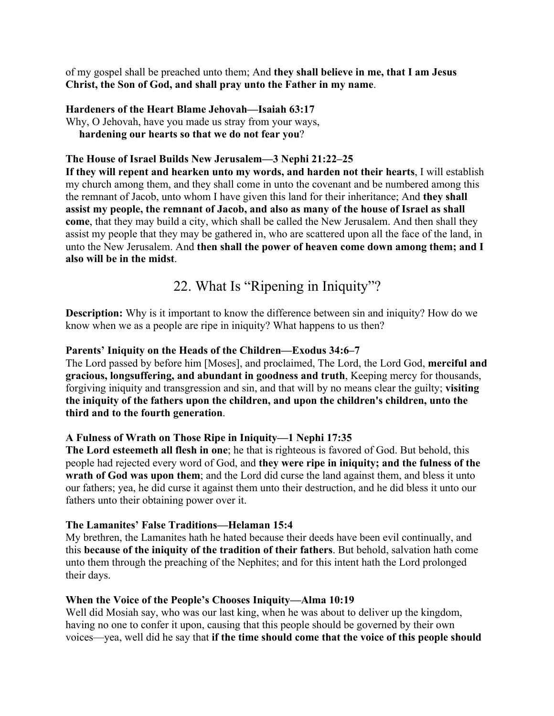of my gospel shall be preached unto them; And **they shall believe in me, that I am Jesus Christ, the Son of God, and shall pray unto the Father in my name**.

### **Hardeners of the Heart Blame Jehovah—Isaiah 63:17**

Why, O Jehovah, have you made us stray from your ways, **hardening our hearts so that we do not fear you**?

### **The House of Israel Builds New Jerusalem—3 Nephi 21:22–25**

**If they will repent and hearken unto my words, and harden not their hearts**, I will establish my church among them, and they shall come in unto the covenant and be numbered among this the remnant of Jacob, unto whom I have given this land for their inheritance; And **they shall assist my people, the remnant of Jacob, and also as many of the house of Israel as shall come**, that they may build a city, which shall be called the New Jerusalem. And then shall they assist my people that they may be gathered in, who are scattered upon all the face of the land, in unto the New Jerusalem. And **then shall the power of heaven come down among them; and I also will be in the midst**.

# 22. What Is "Ripening in Iniquity"?

**Description:** Why is it important to know the difference between sin and iniquity? How do we know when we as a people are ripe in iniquity? What happens to us then?

### **Parents' Iniquity on the Heads of the Children—Exodus 34:6–7**

The Lord passed by before him [Moses], and proclaimed, The Lord, the Lord God, **merciful and gracious, longsuffering, and abundant in goodness and truth**, Keeping mercy for thousands, forgiving iniquity and transgression and sin, and that will by no means clear the guilty; **visiting the iniquity of the fathers upon the children, and upon the children's children, unto the third and to the fourth generation**.

## **A Fulness of Wrath on Those Ripe in Iniquity—1 Nephi 17:35**

**The Lord esteemeth all flesh in one**; he that is righteous is favored of God. But behold, this people had rejected every word of God, and **they were ripe in iniquity; and the fulness of the wrath of God was upon them**; and the Lord did curse the land against them, and bless it unto our fathers; yea, he did curse it against them unto their destruction, and he did bless it unto our fathers unto their obtaining power over it.

## **The Lamanites' False Traditions—Helaman 15:4**

My brethren, the Lamanites hath he hated because their deeds have been evil continually, and this **because of the iniquity of the tradition of their fathers**. But behold, salvation hath come unto them through the preaching of the Nephites; and for this intent hath the Lord prolonged their days.

## **When the Voice of the People's Chooses Iniquity—Alma 10:19**

Well did Mosiah say, who was our last king, when he was about to deliver up the kingdom, having no one to confer it upon, causing that this people should be governed by their own voices—yea, well did he say that **if the time should come that the voice of this people should**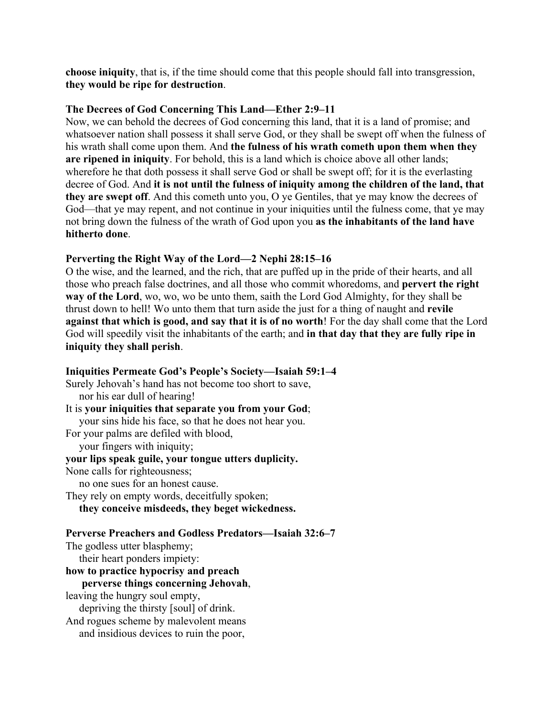**choose iniquity**, that is, if the time should come that this people should fall into transgression, **they would be ripe for destruction**.

### **The Decrees of God Concerning This Land—Ether 2:9–11**

Now, we can behold the decrees of God concerning this land, that it is a land of promise; and whatsoever nation shall possess it shall serve God, or they shall be swept off when the fulness of his wrath shall come upon them. And **the fulness of his wrath cometh upon them when they are ripened in iniquity**. For behold, this is a land which is choice above all other lands; wherefore he that doth possess it shall serve God or shall be swept off; for it is the everlasting decree of God. And **it is not until the fulness of iniquity among the children of the land, that they are swept off**. And this cometh unto you, O ye Gentiles, that ye may know the decrees of God—that ye may repent, and not continue in your iniquities until the fulness come, that ye may not bring down the fulness of the wrath of God upon you **as the inhabitants of the land have hitherto done**.

## **Perverting the Right Way of the Lord—2 Nephi 28:15–16**

O the wise, and the learned, and the rich, that are puffed up in the pride of their hearts, and all those who preach false doctrines, and all those who commit whoredoms, and **pervert the right way of the Lord**, wo, wo, wo be unto them, saith the Lord God Almighty, for they shall be thrust down to hell! Wo unto them that turn aside the just for a thing of naught and **revile against that which is good, and say that it is of no worth**! For the day shall come that the Lord God will speedily visit the inhabitants of the earth; and **in that day that they are fully ripe in iniquity they shall perish**.

## **Iniquities Permeate God's People's Society—Isaiah 59:1–4** Surely Jehovah's hand has not become too short to save, nor his ear dull of hearing! It is **your iniquities that separate you from your God**; your sins hide his face, so that he does not hear you. For your palms are defiled with blood, your fingers with iniquity; **your lips speak guile, your tongue utters duplicity.** None calls for righteousness; no one sues for an honest cause. They rely on empty words, deceitfully spoken; **they conceive misdeeds, they beget wickedness. Perverse Preachers and Godless Predators—Isaiah 32:6–7** The godless utter blasphemy; their heart ponders impiety: **how to practice hypocrisy and preach perverse things concerning Jehovah**, leaving the hungry soul empty, depriving the thirsty [soul] of drink.

And rogues scheme by malevolent means

and insidious devices to ruin the poor,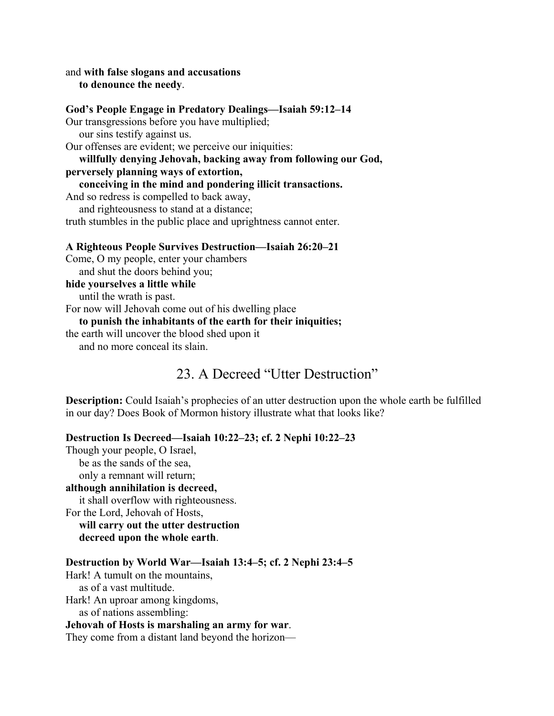and **with false slogans and accusations to denounce the needy**.

#### **God's People Engage in Predatory Dealings—Isaiah 59:12–14**

Our transgressions before you have multiplied;

our sins testify against us.

Our offenses are evident; we perceive our iniquities:

 **willfully denying Jehovah, backing away from following our God, perversely planning ways of extortion,**

 **conceiving in the mind and pondering illicit transactions.**

And so redress is compelled to back away,

 and righteousness to stand at a distance; truth stumbles in the public place and uprightness cannot enter.

#### **A Righteous People Survives Destruction—Isaiah 26:20–21**

Come, O my people, enter your chambers and shut the doors behind you;

#### **hide yourselves a little while**

until the wrath is past.

For now will Jehovah come out of his dwelling place

#### **to punish the inhabitants of the earth for their iniquities;**

the earth will uncover the blood shed upon it and no more conceal its slain.

# 23. A Decreed "Utter Destruction"

**Description:** Could Isaiah's prophecies of an utter destruction upon the whole earth be fulfilled in our day? Does Book of Mormon history illustrate what that looks like?

#### **Destruction Is Decreed—Isaiah 10:22–23; cf. 2 Nephi 10:22–23**

Though your people, O Israel, be as the sands of the sea, only a remnant will return;

#### **although annihilation is decreed,**

it shall overflow with righteousness.

For the Lord, Jehovah of Hosts,

 **will carry out the utter destruction decreed upon the whole earth**.

#### **Destruction by World War—Isaiah 13:4–5; cf. 2 Nephi 23:4–5**

Hark! A tumult on the mountains, as of a vast multitude. Hark! An uproar among kingdoms,

as of nations assembling:

#### **Jehovah of Hosts is marshaling an army for war**.

They come from a distant land beyond the horizon—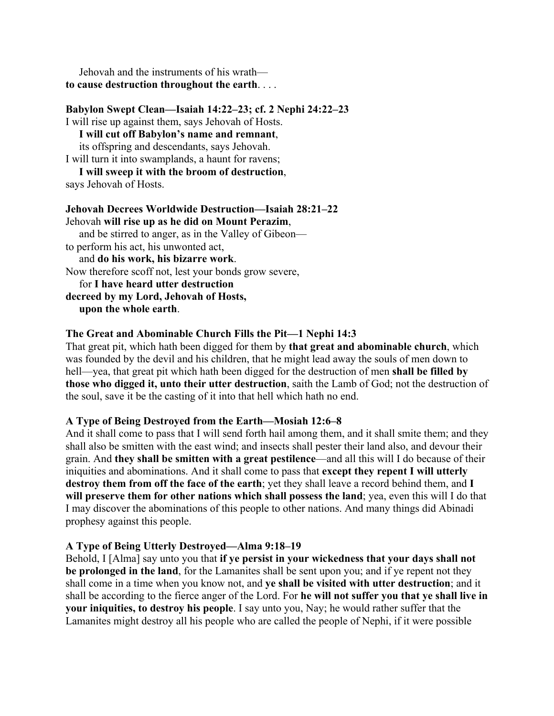Jehovah and the instruments of his wrath **to cause destruction throughout the earth**. . . .

### **Babylon Swept Clean—Isaiah 14:22–23; cf. 2 Nephi 24:22–23**

I will rise up against them, says Jehovah of Hosts.

#### **I will cut off Babylon's name and remnant**, its offspring and descendants, says Jehovah.

I will turn it into swamplands, a haunt for ravens;

#### **I will sweep it with the broom of destruction**, says Jehovah of Hosts.

## **Jehovah Decrees Worldwide Destruction—Isaiah 28:21–22** Jehovah **will rise up as he did on Mount Perazim**, and be stirred to anger, as in the Valley of Gibeon to perform his act, his unwonted act, and **do his work, his bizarre work**. Now therefore scoff not, lest your bonds grow severe, for **I have heard utter destruction decreed by my Lord, Jehovah of Hosts, upon the whole earth**.

## **The Great and Abominable Church Fills the Pit—1 Nephi 14:3**

That great pit, which hath been digged for them by **that great and abominable church**, which was founded by the devil and his children, that he might lead away the souls of men down to hell—yea, that great pit which hath been digged for the destruction of men **shall be filled by those who digged it, unto their utter destruction**, saith the Lamb of God; not the destruction of the soul, save it be the casting of it into that hell which hath no end.

## **A Type of Being Destroyed from the Earth—Mosiah 12:6–8**

And it shall come to pass that I will send forth hail among them, and it shall smite them; and they shall also be smitten with the east wind; and insects shall pester their land also, and devour their grain. And **they shall be smitten with a great pestilence**—and all this will I do because of their iniquities and abominations. And it shall come to pass that **except they repent I will utterly destroy them from off the face of the earth**; yet they shall leave a record behind them, and **I will preserve them for other nations which shall possess the land**; yea, even this will I do that I may discover the abominations of this people to other nations. And many things did Abinadi prophesy against this people.

## **A Type of Being Utterly Destroyed—Alma 9:18–19**

Behold, I [Alma] say unto you that **if ye persist in your wickedness that your days shall not be prolonged in the land**, for the Lamanites shall be sent upon you; and if ye repent not they shall come in a time when you know not, and **ye shall be visited with utter destruction**; and it shall be according to the fierce anger of the Lord. For **he will not suffer you that ye shall live in your iniquities, to destroy his people**. I say unto you, Nay; he would rather suffer that the Lamanites might destroy all his people who are called the people of Nephi, if it were possible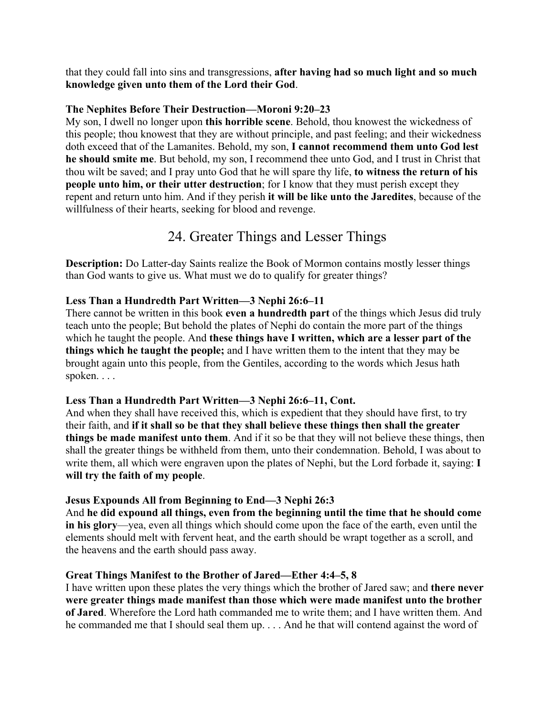that they could fall into sins and transgressions, **after having had so much light and so much knowledge given unto them of the Lord their God**.

### **The Nephites Before Their Destruction—Moroni 9:20–23**

My son, I dwell no longer upon **this horrible scene**. Behold, thou knowest the wickedness of this people; thou knowest that they are without principle, and past feeling; and their wickedness doth exceed that of the Lamanites. Behold, my son, **I cannot recommend them unto God lest he should smite me**. But behold, my son, I recommend thee unto God, and I trust in Christ that thou wilt be saved; and I pray unto God that he will spare thy life, **to witness the return of his people unto him, or their utter destruction**; for I know that they must perish except they repent and return unto him. And if they perish **it will be like unto the Jaredites**, because of the willfulness of their hearts, seeking for blood and revenge.

# 24. Greater Things and Lesser Things

**Description:** Do Latter-day Saints realize the Book of Mormon contains mostly lesser things than God wants to give us. What must we do to qualify for greater things?

## **Less Than a Hundredth Part Written—3 Nephi 26:6–11**

There cannot be written in this book **even a hundredth part** of the things which Jesus did truly teach unto the people; But behold the plates of Nephi do contain the more part of the things which he taught the people. And **these things have I written, which are a lesser part of the things which he taught the people;** and I have written them to the intent that they may be brought again unto this people, from the Gentiles, according to the words which Jesus hath spoken. . . .

## **Less Than a Hundredth Part Written—3 Nephi 26:6–11, Cont.**

And when they shall have received this, which is expedient that they should have first, to try their faith, and **if it shall so be that they shall believe these things then shall the greater things be made manifest unto them**. And if it so be that they will not believe these things, then shall the greater things be withheld from them, unto their condemnation. Behold, I was about to write them, all which were engraven upon the plates of Nephi, but the Lord forbade it, saying: **I will try the faith of my people**.

## **Jesus Expounds All from Beginning to End—3 Nephi 26:3**

And **he did expound all things, even from the beginning until the time that he should come in his glory**—yea, even all things which should come upon the face of the earth, even until the elements should melt with fervent heat, and the earth should be wrapt together as a scroll, and the heavens and the earth should pass away.

## **Great Things Manifest to the Brother of Jared—Ether 4:4–5, 8**

I have written upon these plates the very things which the brother of Jared saw; and **there never were greater things made manifest than those which were made manifest unto the brother of Jared**. Wherefore the Lord hath commanded me to write them; and I have written them. And he commanded me that I should seal them up. . . . And he that will contend against the word of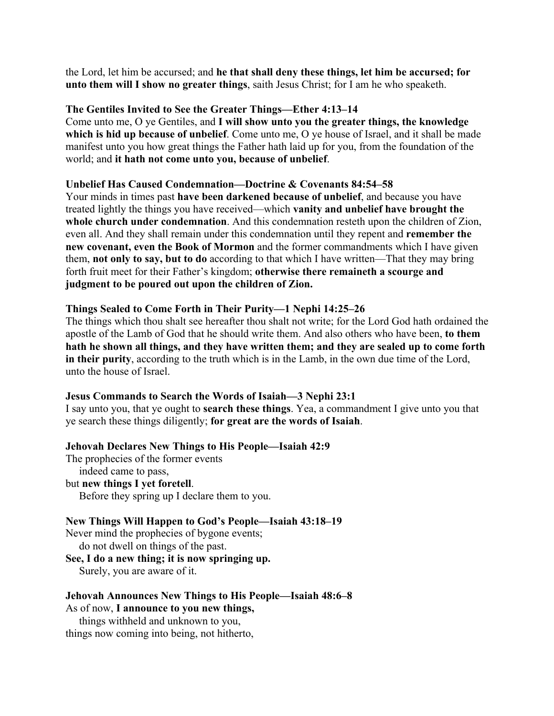the Lord, let him be accursed; and **he that shall deny these things, let him be accursed; for unto them will I show no greater things**, saith Jesus Christ; for I am he who speaketh.

#### **The Gentiles Invited to See the Greater Things—Ether 4:13–14**

Come unto me, O ye Gentiles, and **I will show unto you the greater things, the knowledge which is hid up because of unbelief**. Come unto me, O ye house of Israel, and it shall be made manifest unto you how great things the Father hath laid up for you, from the foundation of the world; and **it hath not come unto you, because of unbelief**.

## **Unbelief Has Caused Condemnation—Doctrine & Covenants 84:54–58**

Your minds in times past **have been darkened because of unbelief**, and because you have treated lightly the things you have received—which **vanity and unbelief have brought the whole church under condemnation**. And this condemnation resteth upon the children of Zion, even all. And they shall remain under this condemnation until they repent and **remember the new covenant, even the Book of Mormon** and the former commandments which I have given them, **not only to say, but to do** according to that which I have written—That they may bring forth fruit meet for their Father's kingdom; **otherwise there remaineth a scourge and judgment to be poured out upon the children of Zion.**

## **Things Sealed to Come Forth in Their Purity—1 Nephi 14:25–26**

The things which thou shalt see hereafter thou shalt not write; for the Lord God hath ordained the apostle of the Lamb of God that he should write them. And also others who have been, **to them hath he shown all things, and they have written them; and they are sealed up to come forth in their purity**, according to the truth which is in the Lamb, in the own due time of the Lord, unto the house of Israel.

#### **Jesus Commands to Search the Words of Isaiah—3 Nephi 23:1**

I say unto you, that ye ought to **search these things**. Yea, a commandment I give unto you that ye search these things diligently; **for great are the words of Isaiah**.

## **Jehovah Declares New Things to His People—Isaiah 42:9**

The prophecies of the former events indeed came to pass, but **new things I yet foretell**. Before they spring up I declare them to you.

#### **New Things Will Happen to God's People—Isaiah 43:18–19**

Never mind the prophecies of bygone events;

do not dwell on things of the past.

**See, I do a new thing; it is now springing up.**

Surely, you are aware of it.

#### **Jehovah Announces New Things to His People—Isaiah 48:6–8** As of now, **I announce to you new things,**

 things withheld and unknown to you, things now coming into being, not hitherto,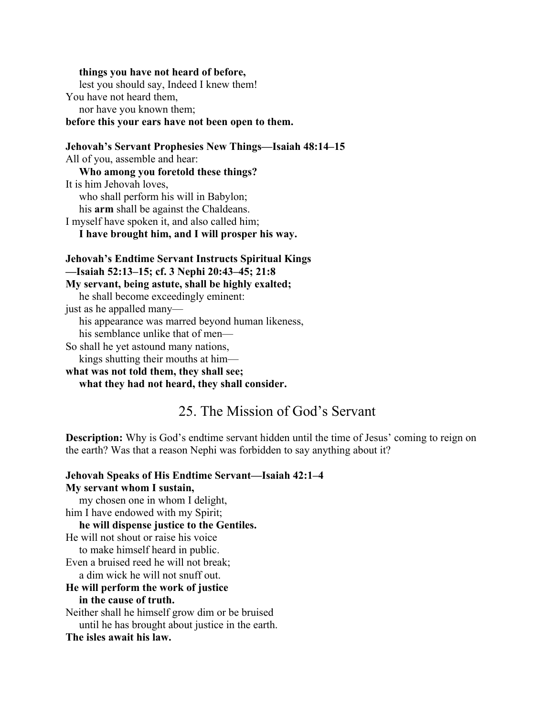#### **things you have not heard of before,**

 lest you should say, Indeed I knew them! You have not heard them, nor have you known them;

#### **before this your ears have not been open to them.**

**Jehovah's Servant Prophesies New Things—Isaiah 48:14–15** All of you, assemble and hear: **Who among you foretold these things?** It is him Jehovah loves, who shall perform his will in Babylon; his **arm** shall be against the Chaldeans. I myself have spoken it, and also called him; **I have brought him, and I will prosper his way.**

**Jehovah's Endtime Servant Instructs Spiritual Kings —Isaiah 52:13–15; cf. 3 Nephi 20:43–45; 21:8 My servant, being astute, shall be highly exalted;** he shall become exceedingly eminent: just as he appalled many—

his appearance was marred beyond human likeness,

his semblance unlike that of men—

So shall he yet astound many nations, kings shutting their mouths at him—

**what was not told them, they shall see; what they had not heard, they shall consider.**

# 25. The Mission of God's Servant

**Description:** Why is God's endtime servant hidden until the time of Jesus' coming to reign on the earth? Was that a reason Nephi was forbidden to say anything about it?

**Jehovah Speaks of His Endtime Servant—Isaiah 42:1–4 My servant whom I sustain,** my chosen one in whom I delight, him I have endowed with my Spirit; **he will dispense justice to the Gentiles.** He will not shout or raise his voice to make himself heard in public. Even a bruised reed he will not break; a dim wick he will not snuff out. **He will perform the work of justice in the cause of truth.** Neither shall he himself grow dim or be bruised until he has brought about justice in the earth.

#### **The isles await his law.**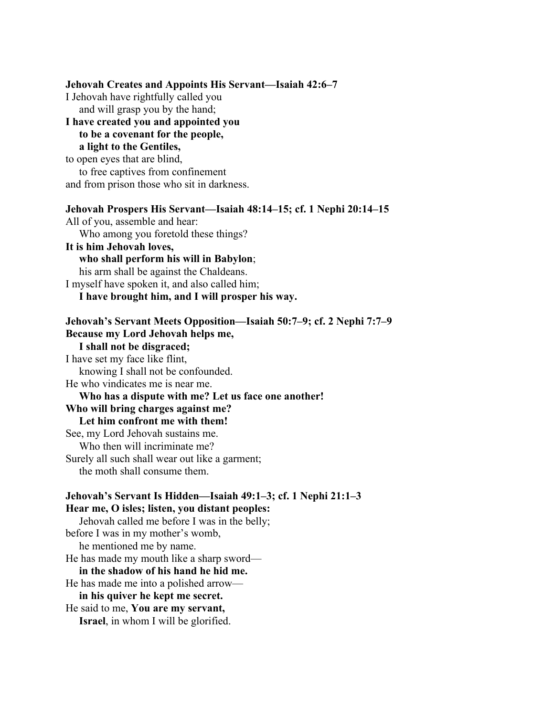**Jehovah Creates and Appoints His Servant—Isaiah 42:6–7** I Jehovah have rightfully called you and will grasp you by the hand; **I have created you and appointed you to be a covenant for the people, a light to the Gentiles,** to open eyes that are blind, to free captives from confinement and from prison those who sit in darkness. **Jehovah Prospers His Servant—Isaiah 48:14–15; cf. 1 Nephi 20:14–15** All of you, assemble and hear: Who among you foretold these things? **It is him Jehovah loves, who shall perform his will in Babylon**; his arm shall be against the Chaldeans. I myself have spoken it, and also called him; **I have brought him, and I will prosper his way. Jehovah's Servant Meets Opposition—Isaiah 50:7–9; cf. 2 Nephi 7:7–9 Because my Lord Jehovah helps me, I shall not be disgraced;** I have set my face like flint, knowing I shall not be confounded. He who vindicates me is near me. **Who has a dispute with me? Let us face one another! Who will bring charges against me? Let him confront me with them!** See, my Lord Jehovah sustains me. Who then will incriminate me? Surely all such shall wear out like a garment; the moth shall consume them. **Jehovah's Servant Is Hidden—Isaiah 49:1–3; cf. 1 Nephi 21:1–3 Hear me, O isles; listen, you distant peoples:** Jehovah called me before I was in the belly; before I was in my mother's womb, he mentioned me by name. He has made my mouth like a sharp sword **in the shadow of his hand he hid me.** He has made me into a polished arrow **in his quiver he kept me secret.** He said to me, **You are my servant, Israel**, in whom I will be glorified.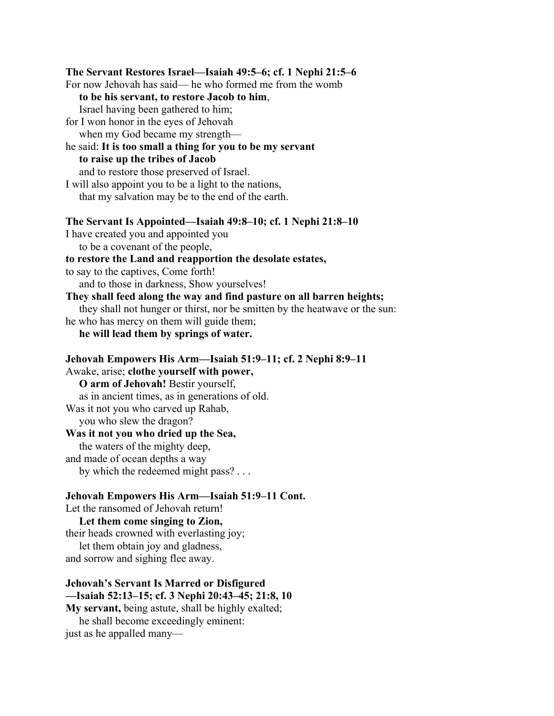**The Servant Restores Israel—Isaiah 49:5–6; cf. 1 Nephi 21:5–6** For now Jehovah has said— he who formed me from the womb  **to be his servant, to restore Jacob to him**, Israel having been gathered to him; for I won honor in the eyes of Jehovah when my God became my strength he said: **It is too small a thing for you to be my servant to raise up the tribes of Jacob** and to restore those preserved of Israel. I will also appoint you to be a light to the nations, that my salvation may be to the end of the earth. **The Servant Is Appointed—Isaiah 49:8–10; cf. 1 Nephi 21:8–10** I have created you and appointed you to be a covenant of the people, **to restore the Land and reapportion the desolate estates,** to say to the captives, Come forth! and to those in darkness, Show yourselves! **They shall feed along the way and find pasture on all barren heights;** they shall not hunger or thirst, nor be smitten by the heatwave or the sun: he who has mercy on them will guide them; **he will lead them by springs of water. Jehovah Empowers His Arm—Isaiah 51:9–11; cf. 2 Nephi 8:9–11** Awake, arise; **clothe yourself with power, O arm of Jehovah!** Bestir yourself, as in ancient times, as in generations of old. Was it not you who carved up Rahab, you who slew the dragon? **Was it not you who dried up the Sea,** the waters of the mighty deep, and made of ocean depths a way by which the redeemed might pass? . . . **Jehovah Empowers His Arm—Isaiah 51:9–11 Cont.** Let the ransomed of Jehovah return! **Let them come singing to Zion,** their heads crowned with everlasting joy; let them obtain joy and gladness,

and sorrow and sighing flee away.

#### **Jehovah's Servant Is Marred or Disfigured —Isaiah 52:13–15; cf. 3 Nephi 20:43–45; 21:8, 10 My servant,** being astute, shall be highly exalted;

 he shall become exceedingly eminent: just as he appalled many—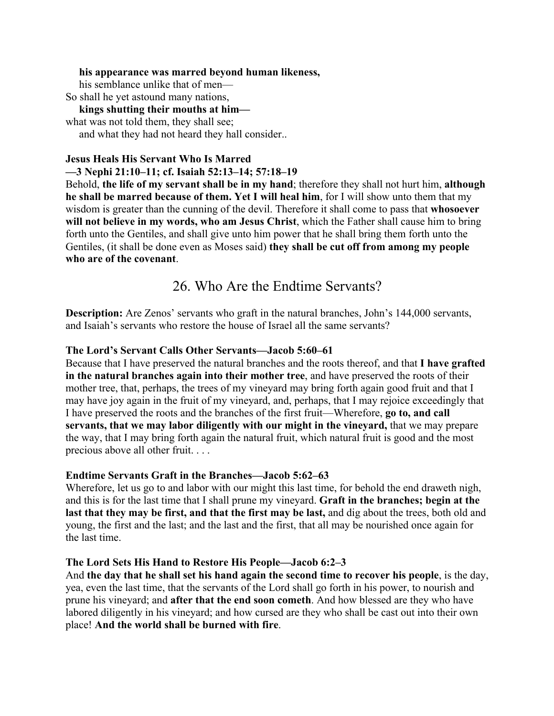#### **his appearance was marred beyond human likeness,**

his semblance unlike that of men—

So shall he yet astound many nations,

 **kings shutting their mouths at him** what was not told them, they shall see; and what they had not heard they hall consider..

#### **Jesus Heals His Servant Who Is Marred**

### **—3 Nephi 21:10–11; cf. Isaiah 52:13–14; 57:18–19**

Behold, **the life of my servant shall be in my hand**; therefore they shall not hurt him, **although he shall be marred because of them. Yet I will heal him**, for I will show unto them that my wisdom is greater than the cunning of the devil. Therefore it shall come to pass that **whosoever will not believe in my words, who am Jesus Christ**, which the Father shall cause him to bring forth unto the Gentiles, and shall give unto him power that he shall bring them forth unto the Gentiles, (it shall be done even as Moses said) **they shall be cut off from among my people who are of the covenant**.

# 26. Who Are the Endtime Servants?

**Description:** Are Zenos' servants who graft in the natural branches, John's 144,000 servants, and Isaiah's servants who restore the house of Israel all the same servants?

### **The Lord's Servant Calls Other Servants—Jacob 5:60–61**

Because that I have preserved the natural branches and the roots thereof, and that **I have grafted in the natural branches again into their mother tree**, and have preserved the roots of their mother tree, that, perhaps, the trees of my vineyard may bring forth again good fruit and that I may have joy again in the fruit of my vineyard, and, perhaps, that I may rejoice exceedingly that I have preserved the roots and the branches of the first fruit—Wherefore, **go to, and call servants, that we may labor diligently with our might in the vineyard,** that we may prepare the way, that I may bring forth again the natural fruit, which natural fruit is good and the most precious above all other fruit. . . .

## **Endtime Servants Graft in the Branches—Jacob 5:62–63**

Wherefore, let us go to and labor with our might this last time, for behold the end draweth nigh, and this is for the last time that I shall prune my vineyard. **Graft in the branches; begin at the last that they may be first, and that the first may be last,** and dig about the trees, both old and young, the first and the last; and the last and the first, that all may be nourished once again for the last time.

## **The Lord Sets His Hand to Restore His People—Jacob 6:2–3**

And **the day that he shall set his hand again the second time to recover his people**, is the day, yea, even the last time, that the servants of the Lord shall go forth in his power, to nourish and prune his vineyard; and **after that the end soon cometh**. And how blessed are they who have labored diligently in his vineyard; and how cursed are they who shall be cast out into their own place! **And the world shall be burned with fire**.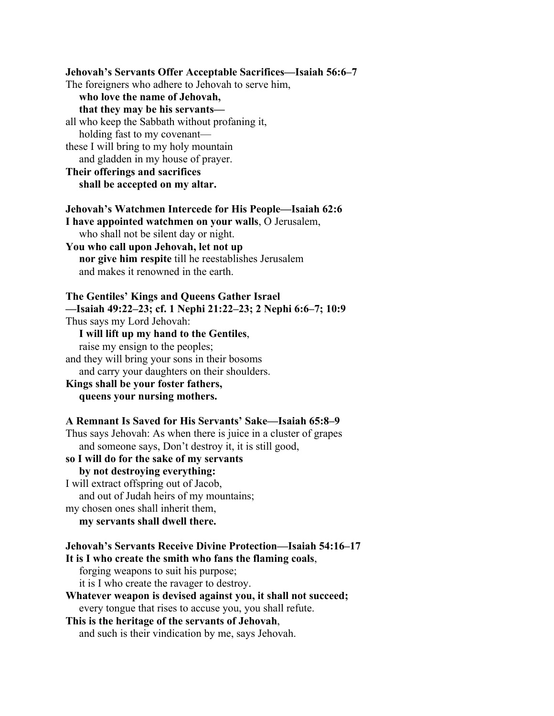**Jehovah's Servants Offer Acceptable Sacrifices—Isaiah 56:6–7** The foreigners who adhere to Jehovah to serve him,  **who love the name of Jehovah, that they may be his servants** all who keep the Sabbath without profaning it, holding fast to my covenant these I will bring to my holy mountain and gladden in my house of prayer. **Their offerings and sacrifices shall be accepted on my altar. Jehovah's Watchmen Intercede for His People—Isaiah 62:6 I have appointed watchmen on your walls**, O Jerusalem, who shall not be silent day or night. **You who call upon Jehovah, let not up nor give him respite** till he reestablishes Jerusalem and makes it renowned in the earth. **The Gentiles' Kings and Queens Gather Israel —Isaiah 49:22–23; cf. 1 Nephi 21:22–23; 2 Nephi 6:6–7; 10:9** Thus says my Lord Jehovah: **I will lift up my hand to the Gentiles**, raise my ensign to the peoples; and they will bring your sons in their bosoms and carry your daughters on their shoulders. **Kings shall be your foster fathers, queens your nursing mothers. A Remnant Is Saved for His Servants' Sake—Isaiah 65:8–9** Thus says Jehovah: As when there is juice in a cluster of grapes and someone says, Don't destroy it, it is still good, **so I will do for the sake of my servants by not destroying everything:** I will extract offspring out of Jacob, and out of Judah heirs of my mountains; my chosen ones shall inherit them, **my servants shall dwell there.**

```
Jehovah's Servants Receive Divine Protection—Isaiah 54:16–17
It is I who create the smith who fans the flaming coals,
    forging weapons to suit his purpose;
```
it is I who create the ravager to destroy.

```
Whatever weapon is devised against you, it shall not succeed;
    every tongue that rises to accuse you, you shall refute.
```
**This is the heritage of the servants of Jehovah**, and such is their vindication by me, says Jehovah.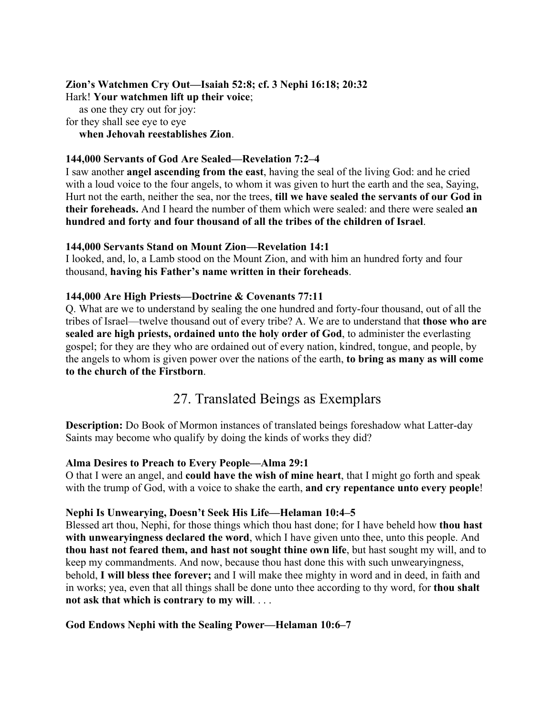#### **Zion's Watchmen Cry Out—Isaiah 52:8; cf. 3 Nephi 16:18; 20:32** Hark! **Your watchmen lift up their voice**;

 as one they cry out for joy: for they shall see eye to eye **when Jehovah reestablishes Zion**.

### **144,000 Servants of God Are Sealed—Revelation 7:2–4**

I saw another **angel ascending from the east**, having the seal of the living God: and he cried with a loud voice to the four angels, to whom it was given to hurt the earth and the sea, Saying, Hurt not the earth, neither the sea, nor the trees, **till we have sealed the servants of our God in their foreheads.** And I heard the number of them which were sealed: and there were sealed **an hundred and forty and four thousand of all the tribes of the children of Israel**.

#### **144,000 Servants Stand on Mount Zion—Revelation 14:1**

I looked, and, lo, a Lamb stood on the Mount Zion, and with him an hundred forty and four thousand, **having his Father's name written in their foreheads**.

### **144,000 Are High Priests—Doctrine & Covenants 77:11**

Q. What are we to understand by sealing the one hundred and forty-four thousand, out of all the tribes of Israel—twelve thousand out of every tribe? A. We are to understand that **those who are sealed are high priests, ordained unto the holy order of God**, to administer the everlasting gospel; for they are they who are ordained out of every nation, kindred, tongue, and people, by the angels to whom is given power over the nations of the earth, **to bring as many as will come to the church of the Firstborn**.

# 27. Translated Beings as Exemplars

**Description:** Do Book of Mormon instances of translated beings foreshadow what Latter-day Saints may become who qualify by doing the kinds of works they did?

## **Alma Desires to Preach to Every People—Alma 29:1**

O that I were an angel, and **could have the wish of mine heart**, that I might go forth and speak with the trump of God, with a voice to shake the earth, **and cry repentance unto every people**!

#### **Nephi Is Unwearying, Doesn't Seek His Life—Helaman 10:4–5**

Blessed art thou, Nephi, for those things which thou hast done; for I have beheld how **thou hast with unwearyingness declared the word**, which I have given unto thee, unto this people. And **thou hast not feared them, and hast not sought thine own life**, but hast sought my will, and to keep my commandments. And now, because thou hast done this with such unwearyingness, behold, **I will bless thee forever;** and I will make thee mighty in word and in deed, in faith and in works; yea, even that all things shall be done unto thee according to thy word, for **thou shalt not ask that which is contrary to my will**. . . .

#### **God Endows Nephi with the Sealing Power—Helaman 10:6–7**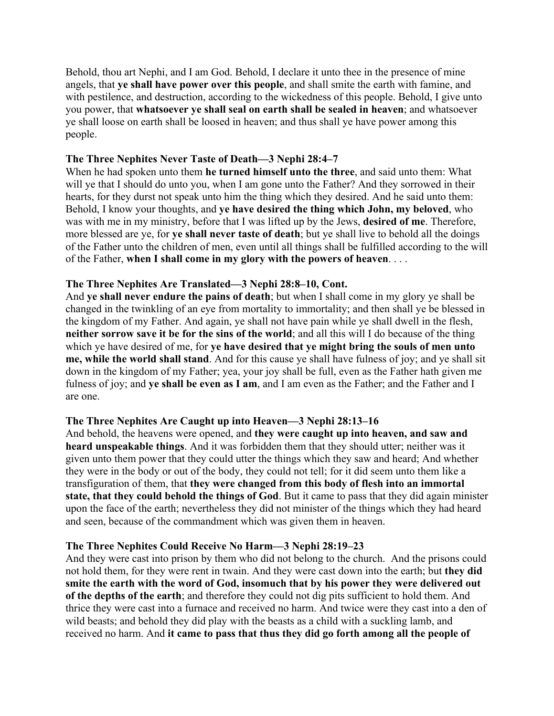Behold, thou art Nephi, and I am God. Behold, I declare it unto thee in the presence of mine angels, that **ye shall have power over this people**, and shall smite the earth with famine, and with pestilence, and destruction, according to the wickedness of this people. Behold, I give unto you power, that **whatsoever ye shall seal on earth shall be sealed in heaven**; and whatsoever ye shall loose on earth shall be loosed in heaven; and thus shall ye have power among this people.

#### **The Three Nephites Never Taste of Death—3 Nephi 28:4–7**

When he had spoken unto them **he turned himself unto the three**, and said unto them: What will ye that I should do unto you, when I am gone unto the Father? And they sorrowed in their hearts, for they durst not speak unto him the thing which they desired. And he said unto them: Behold, I know your thoughts, and **ye have desired the thing which John, my beloved**, who was with me in my ministry, before that I was lifted up by the Jews, **desired of me**. Therefore, more blessed are ye, for **ye shall never taste of death**; but ye shall live to behold all the doings of the Father unto the children of men, even until all things shall be fulfilled according to the will of the Father, **when I shall come in my glory with the powers of heaven**. . . .

#### **The Three Nephites Are Translated—3 Nephi 28:8–10, Cont.**

And **ye shall never endure the pains of death**; but when I shall come in my glory ye shall be changed in the twinkling of an eye from mortality to immortality; and then shall ye be blessed in the kingdom of my Father. And again, ye shall not have pain while ye shall dwell in the flesh, **neither sorrow save it be for the sins of the world**; and all this will I do because of the thing which ye have desired of me, for **ye have desired that ye might bring the souls of men unto me, while the world shall stand**. And for this cause ye shall have fulness of joy; and ye shall sit down in the kingdom of my Father; yea, your joy shall be full, even as the Father hath given me fulness of joy; and **ye shall be even as I am**, and I am even as the Father; and the Father and I are one.

#### **The Three Nephites Are Caught up into Heaven—3 Nephi 28:13–16**

And behold, the heavens were opened, and **they were caught up into heaven, and saw and heard unspeakable things**. And it was forbidden them that they should utter; neither was it given unto them power that they could utter the things which they saw and heard; And whether they were in the body or out of the body, they could not tell; for it did seem unto them like a transfiguration of them, that **they were changed from this body of flesh into an immortal state, that they could behold the things of God**. But it came to pass that they did again minister upon the face of the earth; nevertheless they did not minister of the things which they had heard and seen, because of the commandment which was given them in heaven.

#### **The Three Nephites Could Receive No Harm—3 Nephi 28:19–23**

And they were cast into prison by them who did not belong to the church. And the prisons could not hold them, for they were rent in twain. And they were cast down into the earth; but **they did smite the earth with the word of God, insomuch that by his power they were delivered out of the depths of the earth**; and therefore they could not dig pits sufficient to hold them. And thrice they were cast into a furnace and received no harm. And twice were they cast into a den of wild beasts; and behold they did play with the beasts as a child with a suckling lamb, and received no harm. And **it came to pass that thus they did go forth among all the people of**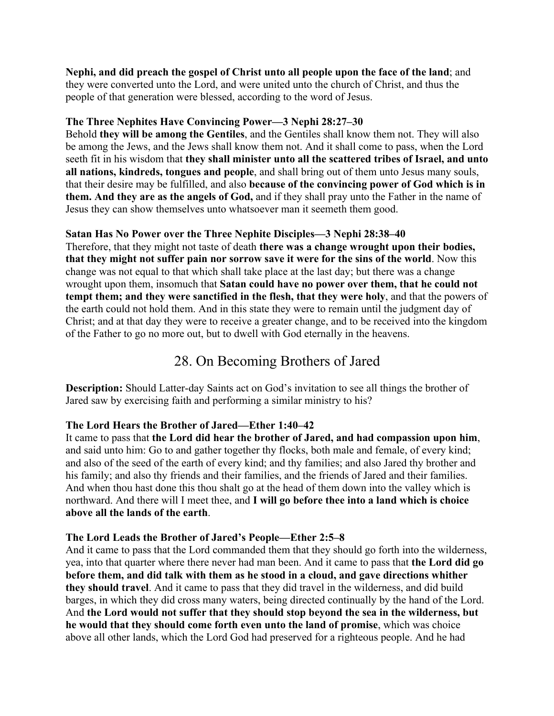# **Nephi, and did preach the gospel of Christ unto all people upon the face of the land**; and

they were converted unto the Lord, and were united unto the church of Christ, and thus the people of that generation were blessed, according to the word of Jesus.

## **The Three Nephites Have Convincing Power—3 Nephi 28:27–30**

Behold **they will be among the Gentiles**, and the Gentiles shall know them not. They will also be among the Jews, and the Jews shall know them not. And it shall come to pass, when the Lord seeth fit in his wisdom that **they shall minister unto all the scattered tribes of Israel, and unto all nations, kindreds, tongues and people**, and shall bring out of them unto Jesus many souls, that their desire may be fulfilled, and also **because of the convincing power of God which is in them. And they are as the angels of God,** and if they shall pray unto the Father in the name of Jesus they can show themselves unto whatsoever man it seemeth them good.

## **Satan Has No Power over the Three Nephite Disciples—3 Nephi 28:38–40**

Therefore, that they might not taste of death **there was a change wrought upon their bodies, that they might not suffer pain nor sorrow save it were for the sins of the world**. Now this change was not equal to that which shall take place at the last day; but there was a change wrought upon them, insomuch that **Satan could have no power over them, that he could not tempt them; and they were sanctified in the flesh, that they were holy**, and that the powers of the earth could not hold them. And in this state they were to remain until the judgment day of Christ; and at that day they were to receive a greater change, and to be received into the kingdom of the Father to go no more out, but to dwell with God eternally in the heavens.

# 28. On Becoming Brothers of Jared

**Description:** Should Latter-day Saints act on God's invitation to see all things the brother of Jared saw by exercising faith and performing a similar ministry to his?

## **The Lord Hears the Brother of Jared—Ether 1:40–42**

It came to pass that **the Lord did hear the brother of Jared, and had compassion upon him**, and said unto him: Go to and gather together thy flocks, both male and female, of every kind; and also of the seed of the earth of every kind; and thy families; and also Jared thy brother and his family; and also thy friends and their families, and the friends of Jared and their families. And when thou hast done this thou shalt go at the head of them down into the valley which is northward. And there will I meet thee, and **I will go before thee into a land which is choice above all the lands of the earth**.

## **The Lord Leads the Brother of Jared's People—Ether 2:5–8**

And it came to pass that the Lord commanded them that they should go forth into the wilderness, yea, into that quarter where there never had man been. And it came to pass that **the Lord did go before them, and did talk with them as he stood in a cloud, and gave directions whither they should travel**. And it came to pass that they did travel in the wilderness, and did build barges, in which they did cross many waters, being directed continually by the hand of the Lord. And **the Lord would not suffer that they should stop beyond the sea in the wilderness, but he would that they should come forth even unto the land of promise**, which was choice above all other lands, which the Lord God had preserved for a righteous people. And he had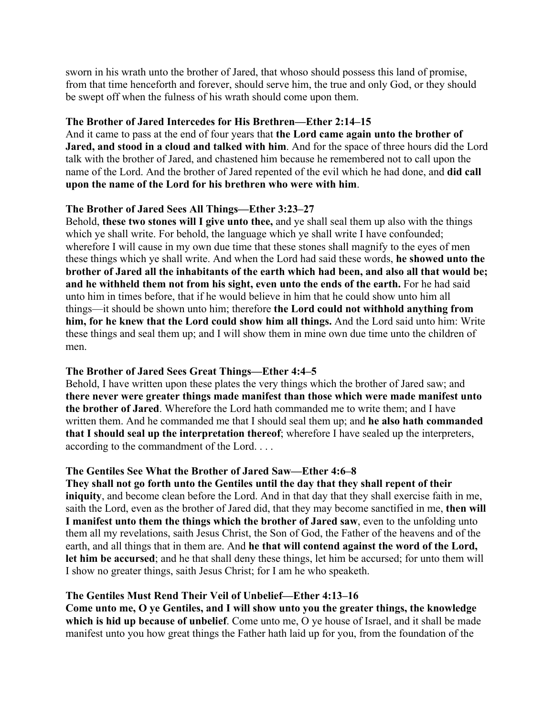sworn in his wrath unto the brother of Jared, that whoso should possess this land of promise, from that time henceforth and forever, should serve him, the true and only God, or they should be swept off when the fulness of his wrath should come upon them.

### **The Brother of Jared Intercedes for His Brethren—Ether 2:14–15**

And it came to pass at the end of four years that **the Lord came again unto the brother of Jared, and stood in a cloud and talked with him**. And for the space of three hours did the Lord talk with the brother of Jared, and chastened him because he remembered not to call upon the name of the Lord. And the brother of Jared repented of the evil which he had done, and **did call upon the name of the Lord for his brethren who were with him**.

## **The Brother of Jared Sees All Things—Ether 3:23–27**

Behold, **these two stones will I give unto thee,** and ye shall seal them up also with the things which ye shall write. For behold, the language which ye shall write I have confounded; wherefore I will cause in my own due time that these stones shall magnify to the eyes of men these things which ye shall write. And when the Lord had said these words, **he showed unto the brother of Jared all the inhabitants of the earth which had been, and also all that would be; and he withheld them not from his sight, even unto the ends of the earth.** For he had said unto him in times before, that if he would believe in him that he could show unto him all things—it should be shown unto him; therefore **the Lord could not withhold anything from him, for he knew that the Lord could show him all things.** And the Lord said unto him: Write these things and seal them up; and I will show them in mine own due time unto the children of men.

## **The Brother of Jared Sees Great Things—Ether 4:4–5**

Behold, I have written upon these plates the very things which the brother of Jared saw; and **there never were greater things made manifest than those which were made manifest unto the brother of Jared**. Wherefore the Lord hath commanded me to write them; and I have written them. And he commanded me that I should seal them up; and **he also hath commanded that I should seal up the interpretation thereof**; wherefore I have sealed up the interpreters, according to the commandment of the Lord. . . .

## **The Gentiles See What the Brother of Jared Saw—Ether 4:6–8**

**They shall not go forth unto the Gentiles until the day that they shall repent of their iniquity**, and become clean before the Lord. And in that day that they shall exercise faith in me, saith the Lord, even as the brother of Jared did, that they may become sanctified in me, **then will I manifest unto them the things which the brother of Jared saw**, even to the unfolding unto them all my revelations, saith Jesus Christ, the Son of God, the Father of the heavens and of the earth, and all things that in them are. And **he that will contend against the word of the Lord, let him be accursed**; and he that shall deny these things, let him be accursed; for unto them will I show no greater things, saith Jesus Christ; for I am he who speaketh.

## **The Gentiles Must Rend Their Veil of Unbelief—Ether 4:13–16**

**Come unto me, O ye Gentiles, and I will show unto you the greater things, the knowledge which is hid up because of unbelief**. Come unto me, O ye house of Israel, and it shall be made manifest unto you how great things the Father hath laid up for you, from the foundation of the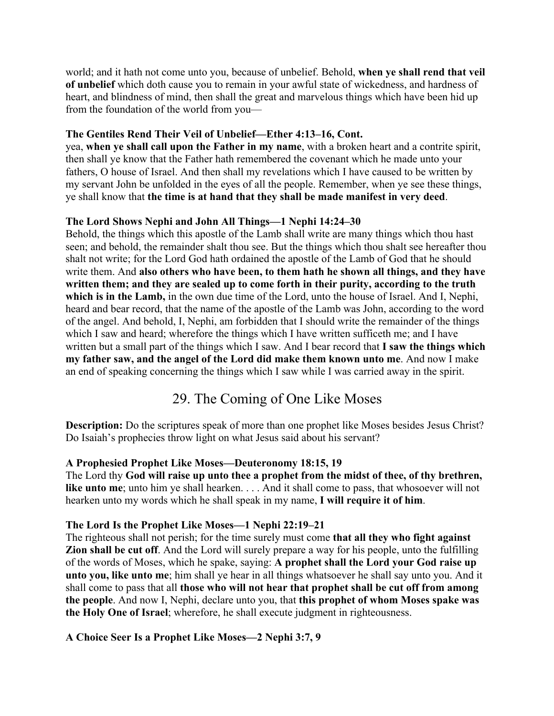world; and it hath not come unto you, because of unbelief. Behold, **when ye shall rend that veil of unbelief** which doth cause you to remain in your awful state of wickedness, and hardness of heart, and blindness of mind, then shall the great and marvelous things which have been hid up from the foundation of the world from you—

## **The Gentiles Rend Their Veil of Unbelief—Ether 4:13–16, Cont.**

yea, **when ye shall call upon the Father in my name**, with a broken heart and a contrite spirit, then shall ye know that the Father hath remembered the covenant which he made unto your fathers, O house of Israel. And then shall my revelations which I have caused to be written by my servant John be unfolded in the eyes of all the people. Remember, when ye see these things, ye shall know that **the time is at hand that they shall be made manifest in very deed**.

## **The Lord Shows Nephi and John All Things—1 Nephi 14:24–30**

Behold, the things which this apostle of the Lamb shall write are many things which thou hast seen; and behold, the remainder shalt thou see. But the things which thou shalt see hereafter thou shalt not write; for the Lord God hath ordained the apostle of the Lamb of God that he should write them. And **also others who have been, to them hath he shown all things, and they have written them; and they are sealed up to come forth in their purity, according to the truth which is in the Lamb,** in the own due time of the Lord, unto the house of Israel. And I, Nephi, heard and bear record, that the name of the apostle of the Lamb was John, according to the word of the angel. And behold, I, Nephi, am forbidden that I should write the remainder of the things which I saw and heard; wherefore the things which I have written sufficeth me; and I have written but a small part of the things which I saw. And I bear record that **I saw the things which my father saw, and the angel of the Lord did make them known unto me**. And now I make an end of speaking concerning the things which I saw while I was carried away in the spirit.

# 29. The Coming of One Like Moses

**Description:** Do the scriptures speak of more than one prophet like Moses besides Jesus Christ? Do Isaiah's prophecies throw light on what Jesus said about his servant?

# **A Prophesied Prophet Like Moses—Deuteronomy 18:15, 19**

The Lord thy **God will raise up unto thee a prophet from the midst of thee, of thy brethren, like unto me**; unto him ye shall hearken. . . . And it shall come to pass, that whosoever will not hearken unto my words which he shall speak in my name, **I will require it of him**.

# **The Lord Is the Prophet Like Moses—1 Nephi 22:19–21**

The righteous shall not perish; for the time surely must come **that all they who fight against Zion shall be cut off**. And the Lord will surely prepare a way for his people, unto the fulfilling of the words of Moses, which he spake, saying: **A prophet shall the Lord your God raise up unto you, like unto me**; him shall ye hear in all things whatsoever he shall say unto you. And it shall come to pass that all **those who will not hear that prophet shall be cut off from among the people**. And now I, Nephi, declare unto you, that **this prophet of whom Moses spake was the Holy One of Israel**; wherefore, he shall execute judgment in righteousness.

# **A Choice Seer Is a Prophet Like Moses—2 Nephi 3:7, 9**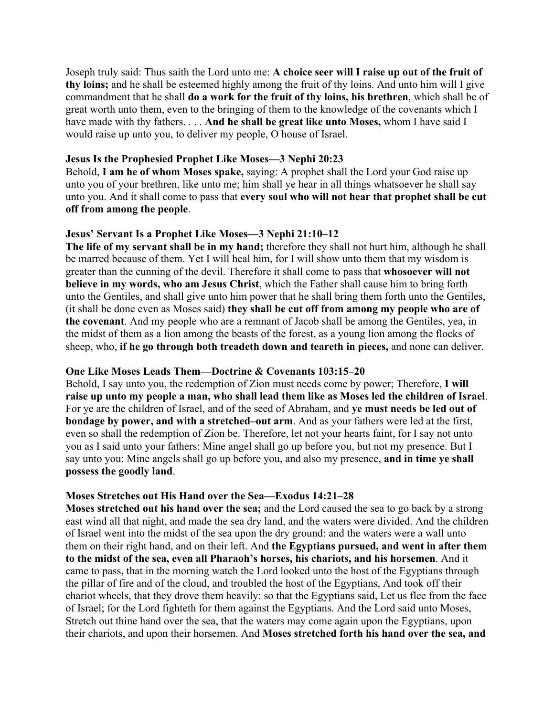Joseph truly said: Thus saith the Lord unto me: **A choice seer will I raise up out of the fruit of thy loins;** and he shall be esteemed highly among the fruit of thy loins. And unto him will I give commandment that he shall **do a work for the fruit of thy loins, his brethren**, which shall be of great worth unto them, even to the bringing of them to the knowledge of the covenants which I have made with thy fathers. . . . **And he shall be great like unto Moses,** whom I have said I would raise up unto you, to deliver my people, O house of Israel.

#### **Jesus Is the Prophesied Prophet Like Moses—3 Nephi 20:23**

Behold, **I am he of whom Moses spake,** saying: A prophet shall the Lord your God raise up unto you of your brethren, like unto me; him shall ye hear in all things whatsoever he shall say unto you. And it shall come to pass that **every soul who will not hear that prophet shall be cut off from among the people**.

### **Jesus' Servant Is a Prophet Like Moses—3 Nephi 21:10–12**

**The life of my servant shall be in my hand;** therefore they shall not hurt him, although he shall be marred because of them. Yet I will heal him, for I will show unto them that my wisdom is greater than the cunning of the devil. Therefore it shall come to pass that **whosoever will not believe in my words, who am Jesus Christ**, which the Father shall cause him to bring forth unto the Gentiles, and shall give unto him power that he shall bring them forth unto the Gentiles, (it shall be done even as Moses said) **they shall be cut off from among my people who are of the covenant**. And my people who are a remnant of Jacob shall be among the Gentiles, yea, in the midst of them as a lion among the beasts of the forest, as a young lion among the flocks of sheep, who, **if he go through both treadeth down and teareth in pieces,** and none can deliver.

#### **One Like Moses Leads Them—Doctrine & Covenants 103:15–20**

Behold, I say unto you, the redemption of Zion must needs come by power; Therefore, **I will raise up unto my people a man, who shall lead them like as Moses led the children of Israel**. For ye are the children of Israel, and of the seed of Abraham, and **ye must needs be led out of bondage by power, and with a stretched–out arm**. And as your fathers were led at the first, even so shall the redemption of Zion be. Therefore, let not your hearts faint, for I say not unto you as I said unto your fathers: Mine angel shall go up before you, but not my presence. But I say unto you: Mine angels shall go up before you, and also my presence, **and in time ye shall possess the goodly land**.

#### **Moses Stretches out His Hand over the Sea—Exodus 14:21–28**

**Moses stretched out his hand over the sea;** and the Lord caused the sea to go back by a strong east wind all that night, and made the sea dry land, and the waters were divided. And the children of Israel went into the midst of the sea upon the dry ground: and the waters were a wall unto them on their right hand, and on their left. And **the Egyptians pursued, and went in after them to the midst of the sea, even all Pharaoh's horses, his chariots, and his horsemen**. And it came to pass, that in the morning watch the Lord looked unto the host of the Egyptians through the pillar of fire and of the cloud, and troubled the host of the Egyptians, And took off their chariot wheels, that they drove them heavily: so that the Egyptians said, Let us flee from the face of Israel; for the Lord fighteth for them against the Egyptians. And the Lord said unto Moses, Stretch out thine hand over the sea, that the waters may come again upon the Egyptians, upon their chariots, and upon their horsemen. And **Moses stretched forth his hand over the sea, and**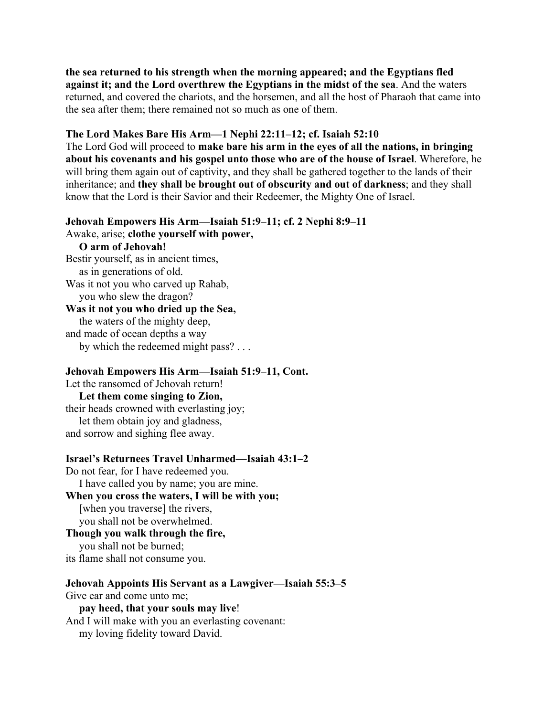**the sea returned to his strength when the morning appeared; and the Egyptians fled against it; and the Lord overthrew the Egyptians in the midst of the sea**. And the waters returned, and covered the chariots, and the horsemen, and all the host of Pharaoh that came into the sea after them; there remained not so much as one of them.

#### **The Lord Makes Bare His Arm—1 Nephi 22:11–12; cf. Isaiah 52:10**

The Lord God will proceed to **make bare his arm in the eyes of all the nations, in bringing about his covenants and his gospel unto those who are of the house of Israel**. Wherefore, he will bring them again out of captivity, and they shall be gathered together to the lands of their inheritance; and **they shall be brought out of obscurity and out of darkness**; and they shall know that the Lord is their Savior and their Redeemer, the Mighty One of Israel.

# **Jehovah Empowers His Arm—Isaiah 51:9–11; cf. 2 Nephi 8:9–11**

Awake, arise; **clothe yourself with power,**

#### **O arm of Jehovah!**

Bestir yourself, as in ancient times, as in generations of old. Was it not you who carved up Rahab, you who slew the dragon? **Was it not you who dried up the Sea,** the waters of the mighty deep,

and made of ocean depths a way by which the redeemed might pass? . . .

#### **Jehovah Empowers His Arm—Isaiah 51:9–11, Cont.**

Let the ransomed of Jehovah return!

 **Let them come singing to Zion,** their heads crowned with everlasting joy; let them obtain joy and gladness, and sorrow and sighing flee away.

#### **Israel's Returnees Travel Unharmed—Isaiah 43:1–2**

Do not fear, for I have redeemed you. I have called you by name; you are mine. **When you cross the waters, I will be with you;** [when you traverse] the rivers, you shall not be overwhelmed. **Though you walk through the fire,** you shall not be burned;

its flame shall not consume you.

**Jehovah Appoints His Servant as a Lawgiver—Isaiah 55:3–5** Give ear and come unto me;  **pay heed, that your souls may live**! And I will make with you an everlasting covenant: my loving fidelity toward David.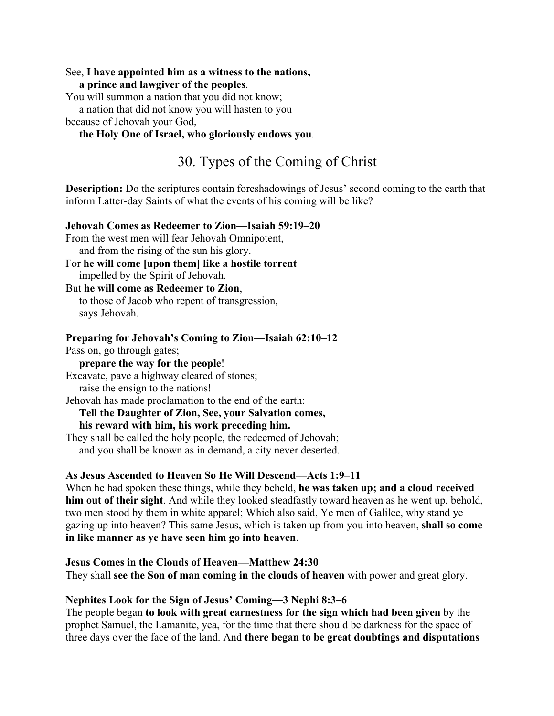#### See, **I have appointed him as a witness to the nations,**

 **a prince and lawgiver of the peoples**.

You will summon a nation that you did not know;

a nation that did not know you will hasten to you—

because of Jehovah your God,

### **the Holy One of Israel, who gloriously endows you**.

# 30. Types of the Coming of Christ

**Description:** Do the scriptures contain foreshadowings of Jesus' second coming to the earth that inform Latter-day Saints of what the events of his coming will be like?

#### **Jehovah Comes as Redeemer to Zion—Isaiah 59:19–20**

From the west men will fear Jehovah Omnipotent, and from the rising of the sun his glory.

For **he will come [upon them] like a hostile torrent** impelled by the Spirit of Jehovah.

#### But **he will come as Redeemer to Zion**, to those of Jacob who repent of transgression, says Jehovah.

**Preparing for Jehovah's Coming to Zion—Isaiah 62:10–12**

Pass on, go through gates;

**prepare the way for the people**!

Excavate, pave a highway cleared of stones;

raise the ensign to the nations!

Jehovah has made proclamation to the end of the earth:

# **Tell the Daughter of Zion, See, your Salvation comes,**

## **his reward with him, his work preceding him.**

They shall be called the holy people, the redeemed of Jehovah; and you shall be known as in demand, a city never deserted.

## **As Jesus Ascended to Heaven So He Will Descend—Acts 1:9–11**

When he had spoken these things, while they beheld, **he was taken up; and a cloud received him out of their sight**. And while they looked steadfastly toward heaven as he went up, behold, two men stood by them in white apparel; Which also said, Ye men of Galilee, why stand ye gazing up into heaven? This same Jesus, which is taken up from you into heaven, **shall so come in like manner as ye have seen him go into heaven**.

## **Jesus Comes in the Clouds of Heaven—Matthew 24:30**

They shall **see the Son of man coming in the clouds of heaven** with power and great glory.

## **Nephites Look for the Sign of Jesus' Coming—3 Nephi 8:3–6**

The people began **to look with great earnestness for the sign which had been given** by the prophet Samuel, the Lamanite, yea, for the time that there should be darkness for the space of three days over the face of the land. And **there began to be great doubtings and disputations**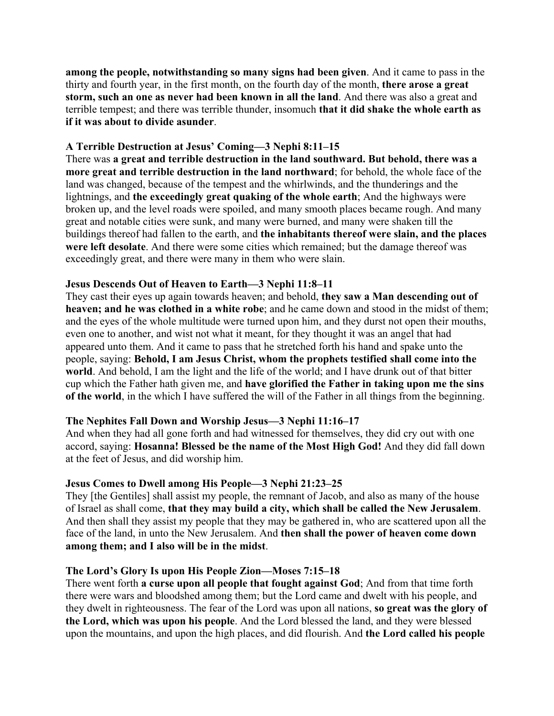**among the people, notwithstanding so many signs had been given**. And it came to pass in the thirty and fourth year, in the first month, on the fourth day of the month, **there arose a great storm, such an one as never had been known in all the land**. And there was also a great and terrible tempest; and there was terrible thunder, insomuch **that it did shake the whole earth as if it was about to divide asunder**.

#### **A Terrible Destruction at Jesus' Coming—3 Nephi 8:11–15**

There was **a great and terrible destruction in the land southward. But behold, there was a more great and terrible destruction in the land northward**; for behold, the whole face of the land was changed, because of the tempest and the whirlwinds, and the thunderings and the lightnings, and **the exceedingly great quaking of the whole earth**; And the highways were broken up, and the level roads were spoiled, and many smooth places became rough. And many great and notable cities were sunk, and many were burned, and many were shaken till the buildings thereof had fallen to the earth, and **the inhabitants thereof were slain, and the places were left desolate**. And there were some cities which remained; but the damage thereof was exceedingly great, and there were many in them who were slain.

### **Jesus Descends Out of Heaven to Earth—3 Nephi 11:8–11**

They cast their eyes up again towards heaven; and behold, **they saw a Man descending out of heaven; and he was clothed in a white robe**; and he came down and stood in the midst of them; and the eyes of the whole multitude were turned upon him, and they durst not open their mouths, even one to another, and wist not what it meant, for they thought it was an angel that had appeared unto them. And it came to pass that he stretched forth his hand and spake unto the people, saying: **Behold, I am Jesus Christ, whom the prophets testified shall come into the world**. And behold, I am the light and the life of the world; and I have drunk out of that bitter cup which the Father hath given me, and **have glorified the Father in taking upon me the sins of the world**, in the which I have suffered the will of the Father in all things from the beginning.

#### **The Nephites Fall Down and Worship Jesus—3 Nephi 11:16–17**

And when they had all gone forth and had witnessed for themselves, they did cry out with one accord, saying: **Hosanna! Blessed be the name of the Most High God!** And they did fall down at the feet of Jesus, and did worship him.

## **Jesus Comes to Dwell among His People—3 Nephi 21:23–25**

They [the Gentiles] shall assist my people, the remnant of Jacob, and also as many of the house of Israel as shall come, **that they may build a city, which shall be called the New Jerusalem**. And then shall they assist my people that they may be gathered in, who are scattered upon all the face of the land, in unto the New Jerusalem. And **then shall the power of heaven come down among them; and I also will be in the midst**.

## **The Lord's Glory Is upon His People Zion—Moses 7:15–18**

There went forth **a curse upon all people that fought against God**; And from that time forth there were wars and bloodshed among them; but the Lord came and dwelt with his people, and they dwelt in righteousness. The fear of the Lord was upon all nations, **so great was the glory of the Lord, which was upon his people**. And the Lord blessed the land, and they were blessed upon the mountains, and upon the high places, and did flourish. And **the Lord called his people**